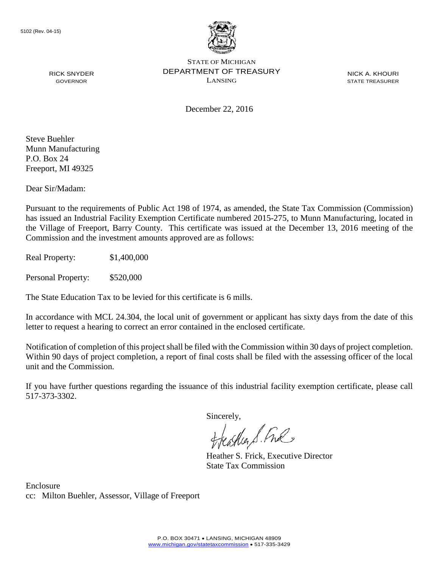

NICK A. KHOURI STATE TREASURER

GOVERNOR

RICK SNYDER

December 22, 2016

Steve Buehler Munn Manufacturing P.O. Box 24 Freeport, MI 49325

Dear Sir/Madam:

Pursuant to the requirements of Public Act 198 of 1974, as amended, the State Tax Commission (Commission) has issued an Industrial Facility Exemption Certificate numbered 2015-275, to Munn Manufacturing, located in the Village of Freeport, Barry County. This certificate was issued at the December 13, 2016 meeting of the Commission and the investment amounts approved are as follows:

Real Property: \$1,400,000

Personal Property: \$520,000

The State Education Tax to be levied for this certificate is 6 mills.

In accordance with MCL 24.304, the local unit of government or applicant has sixty days from the date of this letter to request a hearing to correct an error contained in the enclosed certificate.

Notification of completion of this project shall be filed with the Commission within 30 days of project completion. Within 90 days of project completion, a report of final costs shall be filed with the assessing officer of the local unit and the Commission.

If you have further questions regarding the issuance of this industrial facility exemption certificate, please call 517-373-3302.

Sincerely,

teather S. Ful

Heather S. Frick, Executive Director State Tax Commission

Enclosure cc: Milton Buehler, Assessor, Village of Freeport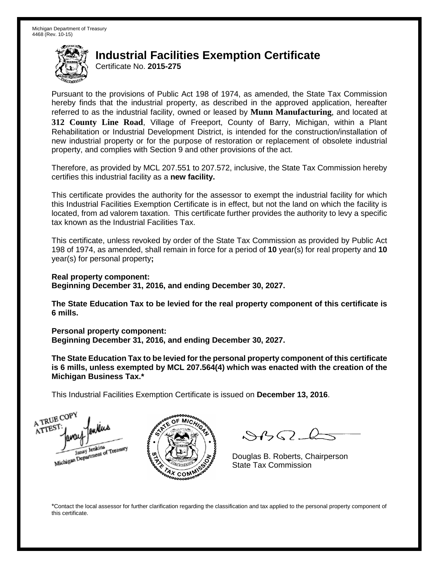Certificate No. **2015-275**

Pursuant to the provisions of Public Act 198 of 1974, as amended, the State Tax Commission hereby finds that the industrial property, as described in the approved application, hereafter referred to as the industrial facility, owned or leased by **Munn Manufacturing**, and located at **312 County Line Road**, Village of Freeport, County of Barry, Michigan, within a Plant Rehabilitation or Industrial Development District, is intended for the construction/installation of new industrial property or for the purpose of restoration or replacement of obsolete industrial property, and complies with Section 9 and other provisions of the act.

Therefore, as provided by MCL 207.551 to 207.572, inclusive, the State Tax Commission hereby certifies this industrial facility as a **new facility.**

This certificate provides the authority for the assessor to exempt the industrial facility for which this Industrial Facilities Exemption Certificate is in effect, but not the land on which the facility is located, from ad valorem taxation. This certificate further provides the authority to levy a specific tax known as the Industrial Facilities Tax.

This certificate, unless revoked by order of the State Tax Commission as provided by Public Act 198 of 1974, as amended, shall remain in force for a period of **10** year(s) for real property and **10** year(s) for personal property**;**

**Real property component: Beginning December 31, 2016, and ending December 30, 2027.**

**The State Education Tax to be levied for the real property component of this certificate is 6 mills.**

**Personal property component:**

**Beginning December 31, 2016, and ending December 30, 2027.**

**The State Education Tax to be levied for the personal property component of this certificate is 6 mills, unless exempted by MCL 207.564(4) which was enacted with the creation of the Michigan Business Tax.\***

This Industrial Facilities Exemption Certificate is issued on **December 13, 2016**.

A TRUE COP ATTEST Michigan Department of Treasury



 $\mathcal{A} \cap \mathcal{A}$ 

Douglas B. Roberts, Chairperson State Tax Commission

\*Contact the local assessor for further clarification regarding the classification and tax applied to the personal property component of this certificate.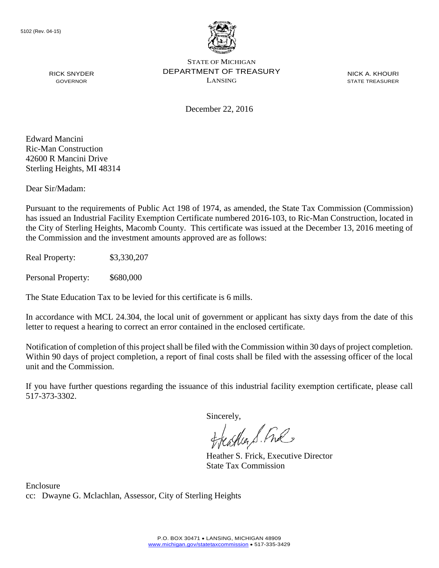

NICK A. KHOURI STATE TREASURER

December 22, 2016

Edward Mancini Ric-Man Construction 42600 R Mancini Drive Sterling Heights, MI 48314

RICK SNYDER GOVERNOR

Dear Sir/Madam:

Pursuant to the requirements of Public Act 198 of 1974, as amended, the State Tax Commission (Commission) has issued an Industrial Facility Exemption Certificate numbered 2016-103, to Ric-Man Construction, located in the City of Sterling Heights, Macomb County. This certificate was issued at the December 13, 2016 meeting of the Commission and the investment amounts approved are as follows:

Real Property: \$3,330,207

Personal Property: \$680,000

The State Education Tax to be levied for this certificate is 6 mills.

In accordance with MCL 24.304, the local unit of government or applicant has sixty days from the date of this letter to request a hearing to correct an error contained in the enclosed certificate.

Notification of completion of this project shall be filed with the Commission within 30 days of project completion. Within 90 days of project completion, a report of final costs shall be filed with the assessing officer of the local unit and the Commission.

If you have further questions regarding the issuance of this industrial facility exemption certificate, please call 517-373-3302.

Sincerely,

teather S. Ful

Heather S. Frick, Executive Director State Tax Commission

Enclosure cc: Dwayne G. Mclachlan, Assessor, City of Sterling Heights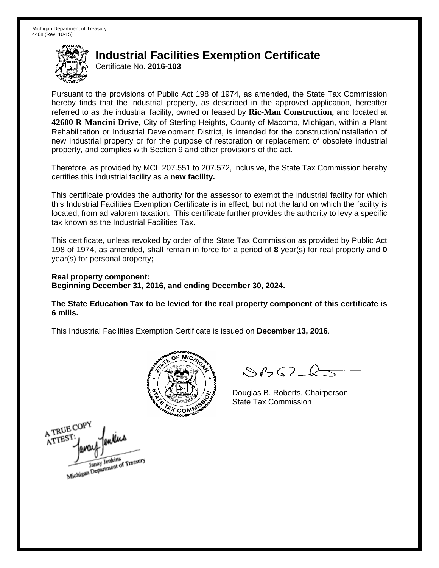Certificate No. **2016-103**

Pursuant to the provisions of Public Act 198 of 1974, as amended, the State Tax Commission hereby finds that the industrial property, as described in the approved application, hereafter referred to as the industrial facility, owned or leased by **Ric-Man Construction**, and located at **42600 R Mancini Drive**, City of Sterling Heights, County of Macomb, Michigan, within a Plant Rehabilitation or Industrial Development District, is intended for the construction/installation of new industrial property or for the purpose of restoration or replacement of obsolete industrial property, and complies with Section 9 and other provisions of the act.

Therefore, as provided by MCL 207.551 to 207.572, inclusive, the State Tax Commission hereby certifies this industrial facility as a **new facility.**

This certificate provides the authority for the assessor to exempt the industrial facility for which this Industrial Facilities Exemption Certificate is in effect, but not the land on which the facility is located, from ad valorem taxation. This certificate further provides the authority to levy a specific tax known as the Industrial Facilities Tax.

This certificate, unless revoked by order of the State Tax Commission as provided by Public Act 198 of 1974, as amended, shall remain in force for a period of **8** year(s) for real property and **0** year(s) for personal property**;**

**Real property component: Beginning December 31, 2016, and ending December 30, 2024.**

**The State Education Tax to be levied for the real property component of this certificate is 6 mills.**



 $\mathcal{A}$ 

Douglas B. Roberts, Chairperson State Tax Commission

A TRUE COPY ATTEST Janay Jenkins<br>Michigan Department of Treasury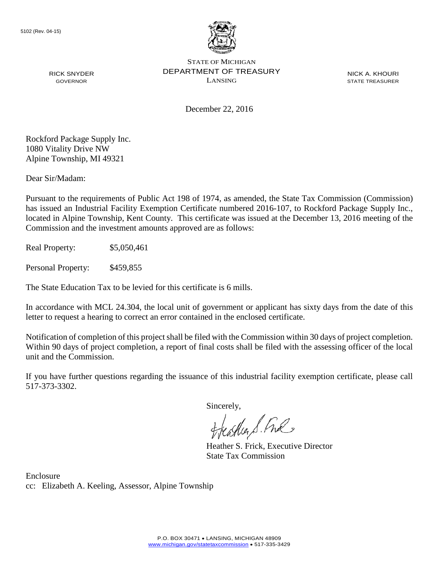

RICK SNYDER GOVERNOR

STATE OF MICHIGAN DEPARTMENT OF TREASURY LANSING

NICK A. KHOURI STATE TREASURER

December 22, 2016

Rockford Package Supply Inc. 1080 Vitality Drive NW Alpine Township, MI 49321

Dear Sir/Madam:

Pursuant to the requirements of Public Act 198 of 1974, as amended, the State Tax Commission (Commission) has issued an Industrial Facility Exemption Certificate numbered 2016-107, to Rockford Package Supply Inc., located in Alpine Township, Kent County. This certificate was issued at the December 13, 2016 meeting of the Commission and the investment amounts approved are as follows:

Real Property: \$5,050,461

Personal Property: \$459,855

The State Education Tax to be levied for this certificate is 6 mills.

In accordance with MCL 24.304, the local unit of government or applicant has sixty days from the date of this letter to request a hearing to correct an error contained in the enclosed certificate.

Notification of completion of this project shall be filed with the Commission within 30 days of project completion. Within 90 days of project completion, a report of final costs shall be filed with the assessing officer of the local unit and the Commission.

If you have further questions regarding the issuance of this industrial facility exemption certificate, please call 517-373-3302.

Sincerely,<br>Freashier S. Free

Heather S. Frick, Executive Director State Tax Commission

Enclosure cc: Elizabeth A. Keeling, Assessor, Alpine Township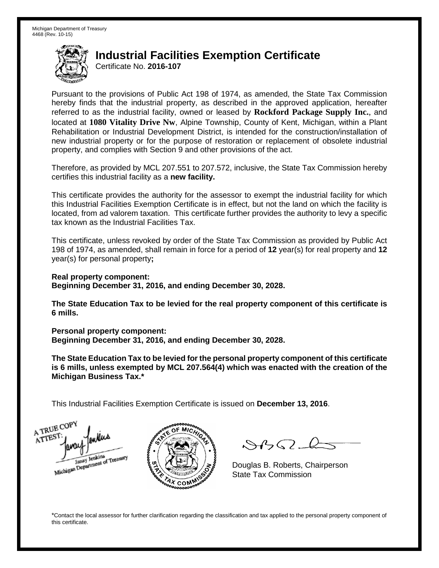Certificate No. **2016-107**

Pursuant to the provisions of Public Act 198 of 1974, as amended, the State Tax Commission hereby finds that the industrial property, as described in the approved application, hereafter referred to as the industrial facility, owned or leased by **Rockford Package Supply Inc.**, and located at **1080 Vitality Drive Nw**, Alpine Township, County of Kent, Michigan, within a Plant Rehabilitation or Industrial Development District, is intended for the construction/installation of new industrial property or for the purpose of restoration or replacement of obsolete industrial property, and complies with Section 9 and other provisions of the act.

Therefore, as provided by MCL 207.551 to 207.572, inclusive, the State Tax Commission hereby certifies this industrial facility as a **new facility.**

This certificate provides the authority for the assessor to exempt the industrial facility for which this Industrial Facilities Exemption Certificate is in effect, but not the land on which the facility is located, from ad valorem taxation. This certificate further provides the authority to levy a specific tax known as the Industrial Facilities Tax.

This certificate, unless revoked by order of the State Tax Commission as provided by Public Act 198 of 1974, as amended, shall remain in force for a period of **12** year(s) for real property and **12** year(s) for personal property**;**

**Real property component: Beginning December 31, 2016, and ending December 30, 2028.**

**The State Education Tax to be levied for the real property component of this certificate is 6 mills.**

**Personal property component:**

**Beginning December 31, 2016, and ending December 30, 2028.**

**The State Education Tax to be levied for the personal property component of this certificate is 6 mills, unless exempted by MCL 207.564(4) which was enacted with the creation of the Michigan Business Tax.\***

This Industrial Facilities Exemption Certificate is issued on **December 13, 2016**.

A TRUE COP ATTEST Janay Jenkins<br>Michigan Department of Treasury



 $\mathcal{S}4\mathcal{G}$ 

Douglas B. Roberts, Chairperson State Tax Commission

\*Contact the local assessor for further clarification regarding the classification and tax applied to the personal property component of this certificate.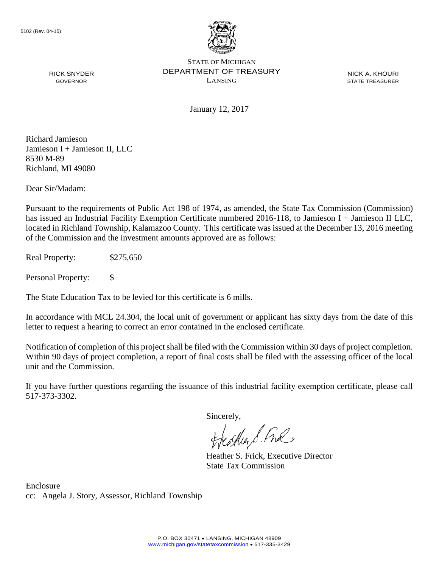

NICK A. KHOURI STATE TREASURER

January 12, 2017

Richard Jamieson Jamieson I + Jamieson II, LLC 8530 M-89 Richland, MI 49080

RICK SNYDER GOVERNOR

Dear Sir/Madam:

Pursuant to the requirements of Public Act 198 of 1974, as amended, the State Tax Commission (Commission) has issued an Industrial Facility Exemption Certificate numbered 2016-118, to Jamieson I + Jamieson II LLC, located in Richland Township, Kalamazoo County. This certificate was issued at the December 13, 2016 meeting of the Commission and the investment amounts approved are as follows:

Real Property: \$275,650

Personal Property: \$

The State Education Tax to be levied for this certificate is 6 mills.

In accordance with MCL 24.304, the local unit of government or applicant has sixty days from the date of this letter to request a hearing to correct an error contained in the enclosed certificate.

Notification of completion of this project shall be filed with the Commission within 30 days of project completion. Within 90 days of project completion, a report of final costs shall be filed with the assessing officer of the local unit and the Commission.

If you have further questions regarding the issuance of this industrial facility exemption certificate, please call 517-373-3302.

Sincerely,

feastles S. Ful

Heather S. Frick, Executive Director State Tax Commission

Enclosure cc: Angela J. Story, Assessor, Richland Township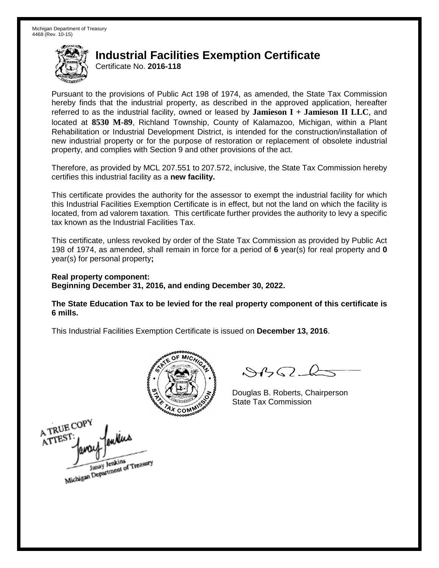Certificate No. **2016-118**

Pursuant to the provisions of Public Act 198 of 1974, as amended, the State Tax Commission hereby finds that the industrial property, as described in the approved application, hereafter referred to as the industrial facility, owned or leased by **Jamieson I + Jamieson II LLC**, and located at **8530 M-89**, Richland Township, County of Kalamazoo, Michigan, within a Plant Rehabilitation or Industrial Development District, is intended for the construction/installation of new industrial property or for the purpose of restoration or replacement of obsolete industrial property, and complies with Section 9 and other provisions of the act.

Therefore, as provided by MCL 207.551 to 207.572, inclusive, the State Tax Commission hereby certifies this industrial facility as a **new facility.** 

This certificate provides the authority for the assessor to exempt the industrial facility for which this Industrial Facilities Exemption Certificate is in effect, but not the land on which the facility is located, from ad valorem taxation. This certificate further provides the authority to levy a specific tax known as the Industrial Facilities Tax.

This certificate, unless revoked by order of the State Tax Commission as provided by Public Act 198 of 1974, as amended, shall remain in force for a period of **6** year(s) for real property and **0** year(s) for personal property**;** 

**Real property component: Beginning December 31, 2016, and ending December 30, 2022.** 

**The State Education Tax to be levied for the real property component of this certificate is 6 mills.**



 $\mathcal{A}_{1} \cap \mathcal{C}$ 

Douglas B. Roberts, Chairperson State Tax Commission

A TRUE COP enkue ATTEST Janay Jenkins<br>Michigan Department of Treasury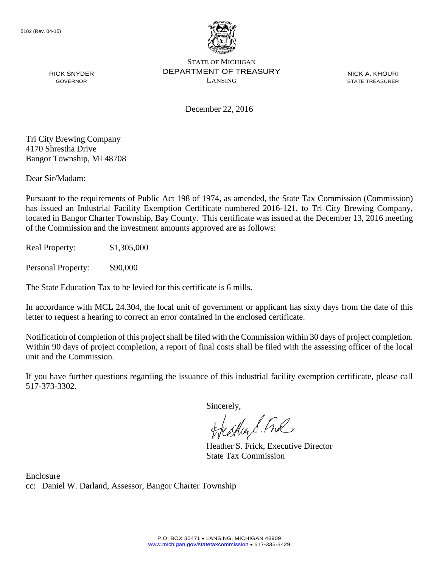

RICK SNYDER GOVERNOR

STATE OF MICHIGAN DEPARTMENT OF TREASURY LANSING

NICK A. KHOURI STATE TREASURER

December 22, 2016

Tri City Brewing Company 4170 Shrestha Drive Bangor Township, MI 48708

Dear Sir/Madam:

Pursuant to the requirements of Public Act 198 of 1974, as amended, the State Tax Commission (Commission) has issued an Industrial Facility Exemption Certificate numbered 2016-121, to Tri City Brewing Company, located in Bangor Charter Township, Bay County. This certificate was issued at the December 13, 2016 meeting of the Commission and the investment amounts approved are as follows:

Real Property: \$1,305,000

Personal Property: \$90,000

The State Education Tax to be levied for this certificate is 6 mills.

In accordance with MCL 24.304, the local unit of government or applicant has sixty days from the date of this letter to request a hearing to correct an error contained in the enclosed certificate.

Notification of completion of this project shall be filed with the Commission within 30 days of project completion. Within 90 days of project completion, a report of final costs shall be filed with the assessing officer of the local unit and the Commission.

If you have further questions regarding the issuance of this industrial facility exemption certificate, please call 517-373-3302.

Sincerely,<br>Freashier S. Free

Heather S. Frick, Executive Director State Tax Commission

Enclosure cc: Daniel W. Darland, Assessor, Bangor Charter Township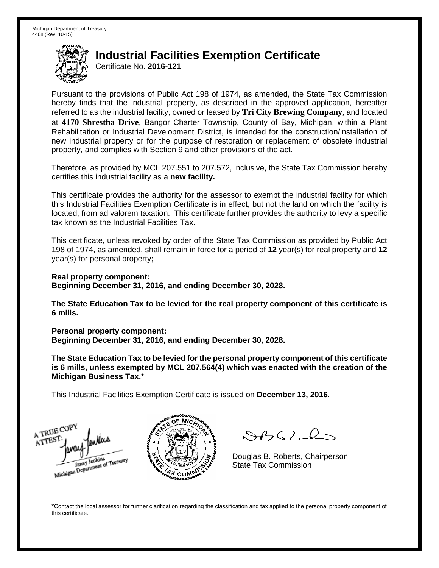Certificate No. **2016-121**

Pursuant to the provisions of Public Act 198 of 1974, as amended, the State Tax Commission hereby finds that the industrial property, as described in the approved application, hereafter referred to as the industrial facility, owned or leased by **Tri City Brewing Company**, and located at **4170 Shrestha Drive**, Bangor Charter Township, County of Bay, Michigan, within a Plant Rehabilitation or Industrial Development District, is intended for the construction/installation of new industrial property or for the purpose of restoration or replacement of obsolete industrial property, and complies with Section 9 and other provisions of the act.

Therefore, as provided by MCL 207.551 to 207.572, inclusive, the State Tax Commission hereby certifies this industrial facility as a **new facility.**

This certificate provides the authority for the assessor to exempt the industrial facility for which this Industrial Facilities Exemption Certificate is in effect, but not the land on which the facility is located, from ad valorem taxation. This certificate further provides the authority to levy a specific tax known as the Industrial Facilities Tax.

This certificate, unless revoked by order of the State Tax Commission as provided by Public Act 198 of 1974, as amended, shall remain in force for a period of **12** year(s) for real property and **12** year(s) for personal property**;**

**Real property component: Beginning December 31, 2016, and ending December 30, 2028.**

**The State Education Tax to be levied for the real property component of this certificate is 6 mills.**

**Personal property component:**

**Beginning December 31, 2016, and ending December 30, 2028.**

**The State Education Tax to be levied for the personal property component of this certificate is 6 mills, unless exempted by MCL 207.564(4) which was enacted with the creation of the Michigan Business Tax.\***

This Industrial Facilities Exemption Certificate is issued on **December 13, 2016**.

A TRUE COP ATTEST Michigan Department of Treasury Janay Jenkins



 $\mathcal{A} \cap \mathcal{A}$ 

Douglas B. Roberts, Chairperson State Tax Commission

\*Contact the local assessor for further clarification regarding the classification and tax applied to the personal property component of this certificate.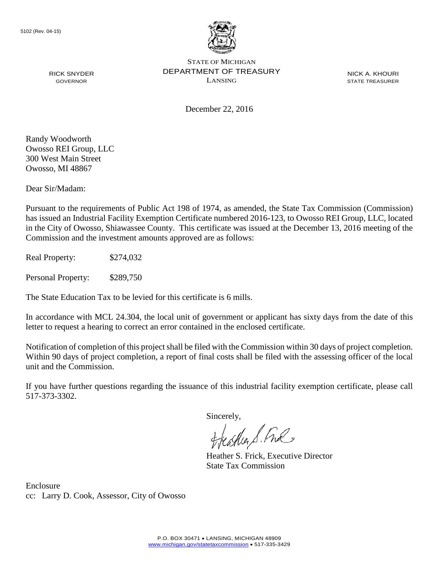

NICK A. KHOURI STATE TREASURER

December 22, 2016

Randy Woodworth Owosso REI Group, LLC 300 West Main Street Owosso, MI 48867

RICK SNYDER GOVERNOR

Dear Sir/Madam:

Pursuant to the requirements of Public Act 198 of 1974, as amended, the State Tax Commission (Commission) has issued an Industrial Facility Exemption Certificate numbered 2016-123, to Owosso REI Group, LLC, located in the City of Owosso, Shiawassee County. This certificate was issued at the December 13, 2016 meeting of the Commission and the investment amounts approved are as follows:

Real Property: \$274,032

Personal Property: \$289,750

The State Education Tax to be levied for this certificate is 6 mills.

In accordance with MCL 24.304, the local unit of government or applicant has sixty days from the date of this letter to request a hearing to correct an error contained in the enclosed certificate.

Notification of completion of this project shall be filed with the Commission within 30 days of project completion. Within 90 days of project completion, a report of final costs shall be filed with the assessing officer of the local unit and the Commission.

If you have further questions regarding the issuance of this industrial facility exemption certificate, please call 517-373-3302.

Sincerely,

teaglier S. Ful

Heather S. Frick, Executive Director State Tax Commission

Enclosure cc: Larry D. Cook, Assessor, City of Owosso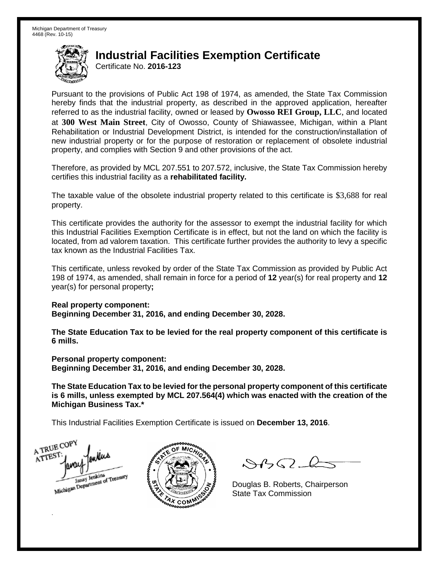Certificate No. **2016-123**

Pursuant to the provisions of Public Act 198 of 1974, as amended, the State Tax Commission hereby finds that the industrial property, as described in the approved application, hereafter referred to as the industrial facility, owned or leased by **Owosso REI Group, LLC**, and located at **300 West Main Street**, City of Owosso, County of Shiawassee, Michigan, within a Plant Rehabilitation or Industrial Development District, is intended for the construction/installation of new industrial property or for the purpose of restoration or replacement of obsolete industrial property, and complies with Section 9 and other provisions of the act.

Therefore, as provided by MCL 207.551 to 207.572, inclusive, the State Tax Commission hereby certifies this industrial facility as a **rehabilitated facility.**

The taxable value of the obsolete industrial property related to this certificate is \$3,688 for real property.

This certificate provides the authority for the assessor to exempt the industrial facility for which this Industrial Facilities Exemption Certificate is in effect, but not the land on which the facility is located, from ad valorem taxation. This certificate further provides the authority to levy a specific tax known as the Industrial Facilities Tax.

This certificate, unless revoked by order of the State Tax Commission as provided by Public Act 198 of 1974, as amended, shall remain in force for a period of **12** year(s) for real property and **12** year(s) for personal property**;**

**Real property component:**

**Beginning December 31, 2016, and ending December 30, 2028.**

**The State Education Tax to be levied for the real property component of this certificate is 6 mills.**

**Personal property component: Beginning December 31, 2016, and ending December 30, 2028.**

**The State Education Tax to be levied for the personal property component of this certificate is 6 mills, unless exempted by MCL 207.564(4) which was enacted with the creation of the Michigan Business Tax.\***

This Industrial Facilities Exemption Certificate is issued on **December 13, 2016**.

A TRUE COPY ATTEST ankus Janay Jenkins<br>Michigan Department of Treasury

.



 $\mathcal{A}$ 

Douglas B. Roberts, Chairperson State Tax Commission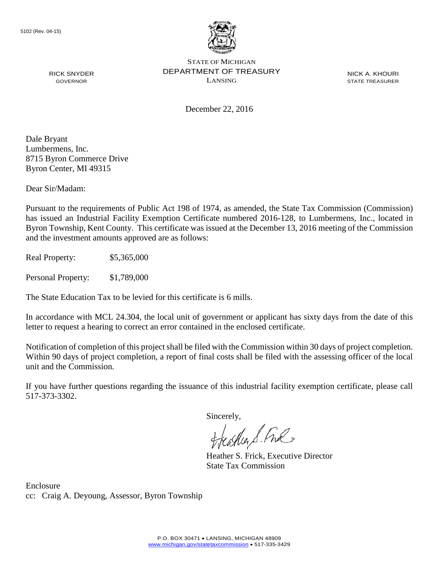

NICK A. KHOURI STATE TREASURER

December 22, 2016

Dale Bryant Lumbermens, Inc. 8715 Byron Commerce Drive Byron Center, MI 49315

RICK SNYDER GOVERNOR

Dear Sir/Madam:

Pursuant to the requirements of Public Act 198 of 1974, as amended, the State Tax Commission (Commission) has issued an Industrial Facility Exemption Certificate numbered 2016-128, to Lumbermens, Inc., located in Byron Township, Kent County. This certificate was issued at the December 13, 2016 meeting of the Commission and the investment amounts approved are as follows:

Real Property: \$5,365,000

Personal Property: \$1,789,000

The State Education Tax to be levied for this certificate is 6 mills.

In accordance with MCL 24.304, the local unit of government or applicant has sixty days from the date of this letter to request a hearing to correct an error contained in the enclosed certificate.

Notification of completion of this project shall be filed with the Commission within 30 days of project completion. Within 90 days of project completion, a report of final costs shall be filed with the assessing officer of the local unit and the Commission.

If you have further questions regarding the issuance of this industrial facility exemption certificate, please call 517-373-3302.

Sincerely,

teagher & Fral

Heather S. Frick, Executive Director State Tax Commission

Enclosure cc: Craig A. Deyoung, Assessor, Byron Township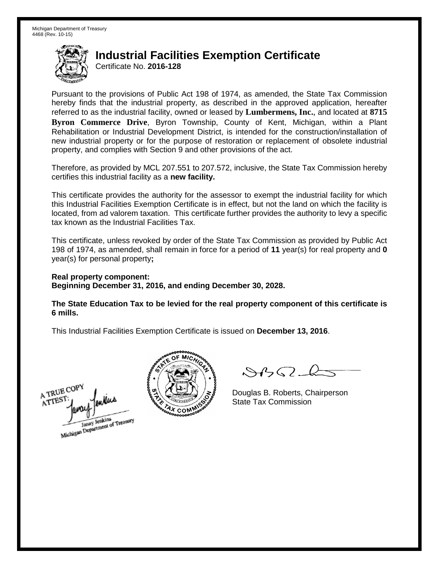Certificate No. **2016-128**

Pursuant to the provisions of Public Act 198 of 1974, as amended, the State Tax Commission hereby finds that the industrial property, as described in the approved application, hereafter referred to as the industrial facility, owned or leased by **Lumbermens, Inc.**, and located at **8715 Byron Commerce Drive**, Byron Township, County of Kent, Michigan, within a Plant Rehabilitation or Industrial Development District, is intended for the construction/installation of new industrial property or for the purpose of restoration or replacement of obsolete industrial property, and complies with Section 9 and other provisions of the act.

Therefore, as provided by MCL 207.551 to 207.572, inclusive, the State Tax Commission hereby certifies this industrial facility as a **new facility.**

This certificate provides the authority for the assessor to exempt the industrial facility for which this Industrial Facilities Exemption Certificate is in effect, but not the land on which the facility is located, from ad valorem taxation. This certificate further provides the authority to levy a specific tax known as the Industrial Facilities Tax.

This certificate, unless revoked by order of the State Tax Commission as provided by Public Act 198 of 1974, as amended, shall remain in force for a period of **11** year(s) for real property and **0** year(s) for personal property**;**

**Real property component: Beginning December 31, 2016, and ending December 30, 2028.**

**The State Education Tax to be levied for the real property component of this certificate is 6 mills.**

A TRUE COP A TTES! Janay Jenkins<br>Michigan Department of Treasury



 $\mathcal{A}_{1} \cap \mathcal{C}$ 

Douglas B. Roberts, Chairperson State Tax Commission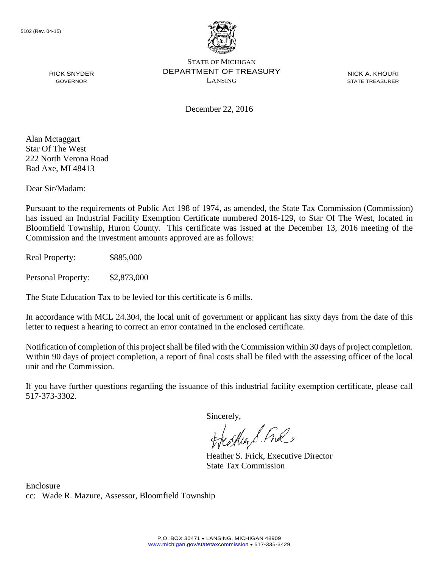

December 22, 2016

NICK A. KHOURI STATE TREASURER

Alan Mctaggart Star Of The West 222 North Verona Road Bad Axe, MI 48413

RICK SNYDER GOVERNOR

Dear Sir/Madam:

Pursuant to the requirements of Public Act 198 of 1974, as amended, the State Tax Commission (Commission) has issued an Industrial Facility Exemption Certificate numbered 2016-129, to Star Of The West, located in Bloomfield Township, Huron County. This certificate was issued at the December 13, 2016 meeting of the Commission and the investment amounts approved are as follows:

Real Property: \$885,000

Personal Property: \$2,873,000

The State Education Tax to be levied for this certificate is 6 mills.

In accordance with MCL 24.304, the local unit of government or applicant has sixty days from the date of this letter to request a hearing to correct an error contained in the enclosed certificate.

Notification of completion of this project shall be filed with the Commission within 30 days of project completion. Within 90 days of project completion, a report of final costs shall be filed with the assessing officer of the local unit and the Commission.

If you have further questions regarding the issuance of this industrial facility exemption certificate, please call 517-373-3302.

Sincerely,

teaglier S. Ful

Heather S. Frick, Executive Director State Tax Commission

Enclosure cc: Wade R. Mazure, Assessor, Bloomfield Township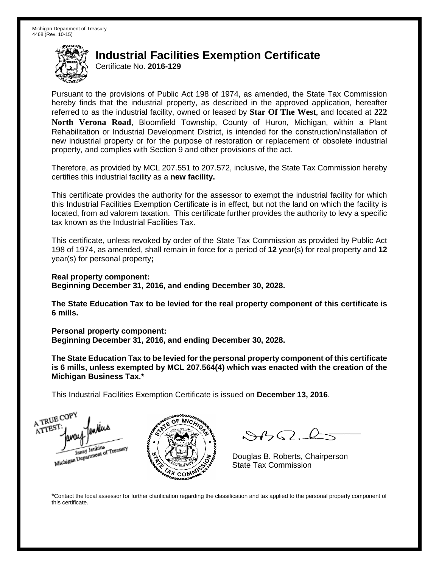Certificate No. **2016-129**

Pursuant to the provisions of Public Act 198 of 1974, as amended, the State Tax Commission hereby finds that the industrial property, as described in the approved application, hereafter referred to as the industrial facility, owned or leased by **Star Of The West**, and located at **222 North Verona Road**, Bloomfield Township, County of Huron, Michigan, within a Plant Rehabilitation or Industrial Development District, is intended for the construction/installation of new industrial property or for the purpose of restoration or replacement of obsolete industrial property, and complies with Section 9 and other provisions of the act.

Therefore, as provided by MCL 207.551 to 207.572, inclusive, the State Tax Commission hereby certifies this industrial facility as a **new facility.**

This certificate provides the authority for the assessor to exempt the industrial facility for which this Industrial Facilities Exemption Certificate is in effect, but not the land on which the facility is located, from ad valorem taxation. This certificate further provides the authority to levy a specific tax known as the Industrial Facilities Tax.

This certificate, unless revoked by order of the State Tax Commission as provided by Public Act 198 of 1974, as amended, shall remain in force for a period of **12** year(s) for real property and **12** year(s) for personal property**;**

**Real property component: Beginning December 31, 2016, and ending December 30, 2028.**

**The State Education Tax to be levied for the real property component of this certificate is 6 mills.**

**Personal property component:**

**Beginning December 31, 2016, and ending December 30, 2028.**

**The State Education Tax to be levied for the personal property component of this certificate is 6 mills, unless exempted by MCL 207.564(4) which was enacted with the creation of the Michigan Business Tax.\***

This Industrial Facilities Exemption Certificate is issued on **December 13, 2016**.





 $\mathcal{A}(\mathcal{C})$ 

Douglas B. Roberts, Chairperson State Tax Commission

\*Contact the local assessor for further clarification regarding the classification and tax applied to the personal property component of this certificate.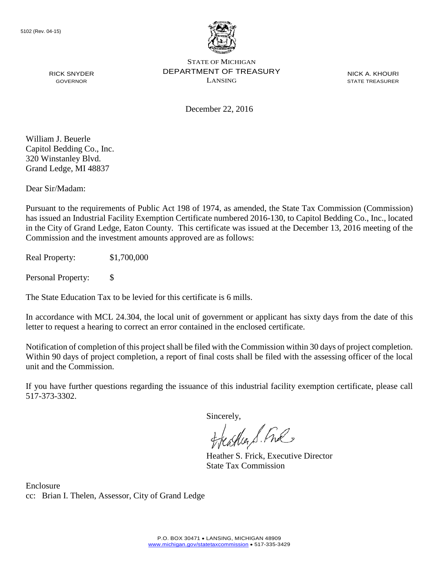

NICK A. KHOURI STATE TREASURER

December 22, 2016

William J. Beuerle Capitol Bedding Co., Inc. 320 Winstanley Blvd. Grand Ledge, MI 48837

RICK SNYDER GOVERNOR

Dear Sir/Madam:

Pursuant to the requirements of Public Act 198 of 1974, as amended, the State Tax Commission (Commission) has issued an Industrial Facility Exemption Certificate numbered 2016-130, to Capitol Bedding Co., Inc., located in the City of Grand Ledge, Eaton County. This certificate was issued at the December 13, 2016 meeting of the Commission and the investment amounts approved are as follows:

Real Property: \$1,700,000

Personal Property: \$

The State Education Tax to be levied for this certificate is 6 mills.

In accordance with MCL 24.304, the local unit of government or applicant has sixty days from the date of this letter to request a hearing to correct an error contained in the enclosed certificate.

Notification of completion of this project shall be filed with the Commission within 30 days of project completion. Within 90 days of project completion, a report of final costs shall be filed with the assessing officer of the local unit and the Commission.

If you have further questions regarding the issuance of this industrial facility exemption certificate, please call 517-373-3302.

Sincerely,

teagher & Fral

Heather S. Frick, Executive Director State Tax Commission

Enclosure cc: Brian I. Thelen, Assessor, City of Grand Ledge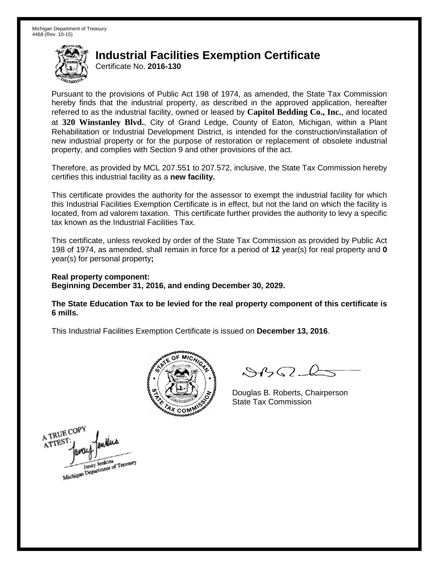Certificate No. **2016-130**

Pursuant to the provisions of Public Act 198 of 1974, as amended, the State Tax Commission hereby finds that the industrial property, as described in the approved application, hereafter referred to as the industrial facility, owned or leased by **Capitol Bedding Co., Inc.**, and located at **320 Winstanley Blvd.**, City of Grand Ledge, County of Eaton, Michigan, within a Plant Rehabilitation or Industrial Development District, is intended for the construction/installation of new industrial property or for the purpose of restoration or replacement of obsolete industrial property, and complies with Section 9 and other provisions of the act.

Therefore, as provided by MCL 207.551 to 207.572, inclusive, the State Tax Commission hereby certifies this industrial facility as a **new facility.**

This certificate provides the authority for the assessor to exempt the industrial facility for which this Industrial Facilities Exemption Certificate is in effect, but not the land on which the facility is located, from ad valorem taxation. This certificate further provides the authority to levy a specific tax known as the Industrial Facilities Tax.

This certificate, unless revoked by order of the State Tax Commission as provided by Public Act 198 of 1974, as amended, shall remain in force for a period of **12** year(s) for real property and **0** year(s) for personal property**;**

**Real property component: Beginning December 31, 2016, and ending December 30, 2029.**

**The State Education Tax to be levied for the real property component of this certificate is 6 mills.**



 $\mathcal{A}$ 

Douglas B. Roberts, Chairperson State Tax Commission

A TRUE COPY ATTES Janay Jenkins<br>Michigan Department of Treasury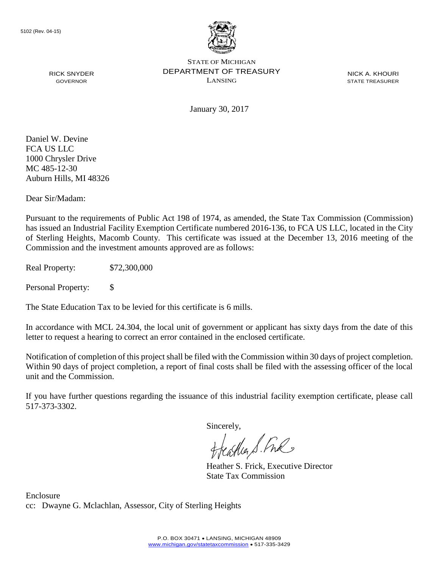

NICK A. KHOURI STATE TREASURER

January 30, 2017

Daniel W. Devine FCA US LLC 1000 Chrysler Drive MC 485-12-30 Auburn Hills, MI 48326

RICK SNYDER GOVERNOR

Dear Sir/Madam:

Pursuant to the requirements of Public Act 198 of 1974, as amended, the State Tax Commission (Commission) has issued an Industrial Facility Exemption Certificate numbered 2016-136, to FCA US LLC, located in the City of Sterling Heights, Macomb County. This certificate was issued at the December 13, 2016 meeting of the Commission and the investment amounts approved are as follows:

Real Property: \$72,300,000

Personal Property: \$

The State Education Tax to be levied for this certificate is 6 mills.

In accordance with MCL 24.304, the local unit of government or applicant has sixty days from the date of this letter to request a hearing to correct an error contained in the enclosed certificate.

Notification of completion of this project shall be filed with the Commission within 30 days of project completion. Within 90 days of project completion, a report of final costs shall be filed with the assessing officer of the local unit and the Commission.

If you have further questions regarding the issuance of this industrial facility exemption certificate, please call 517-373-3302.

Sincerely,

aglia S. Free

Heather S. Frick, Executive Director State Tax Commission

Enclosure cc: Dwayne G. Mclachlan, Assessor, City of Sterling Heights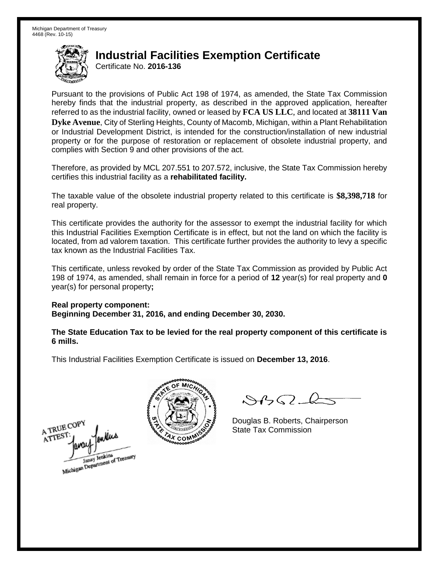Certificate No. **2016-136**

Pursuant to the provisions of Public Act 198 of 1974, as amended, the State Tax Commission hereby finds that the industrial property, as described in the approved application, hereafter referred to as the industrial facility, owned or leased by **FCA US LLC**, and located at **38111 Van Dyke Avenue**, City of Sterling Heights, County of Macomb, Michigan, within a Plant Rehabilitation or Industrial Development District, is intended for the construction/installation of new industrial property or for the purpose of restoration or replacement of obsolete industrial property, and complies with Section 9 and other provisions of the act.

Therefore, as provided by MCL 207.551 to 207.572, inclusive, the State Tax Commission hereby certifies this industrial facility as a **rehabilitated facility.** 

The taxable value of the obsolete industrial property related to this certificate is **\$8,398,718** for real property.

This certificate provides the authority for the assessor to exempt the industrial facility for which this Industrial Facilities Exemption Certificate is in effect, but not the land on which the facility is located, from ad valorem taxation. This certificate further provides the authority to levy a specific tax known as the Industrial Facilities Tax.

This certificate, unless revoked by order of the State Tax Commission as provided by Public Act 198 of 1974, as amended, shall remain in force for a period of **12** year(s) for real property and **0** year(s) for personal property**;** 

**Real property component: Beginning December 31, 2016, and ending December 30, 2030.** 

**The State Education Tax to be levied for the real property component of this certificate is 6 mills.** 





 $8450 - 6$ 

Douglas B. Roberts, Chairperson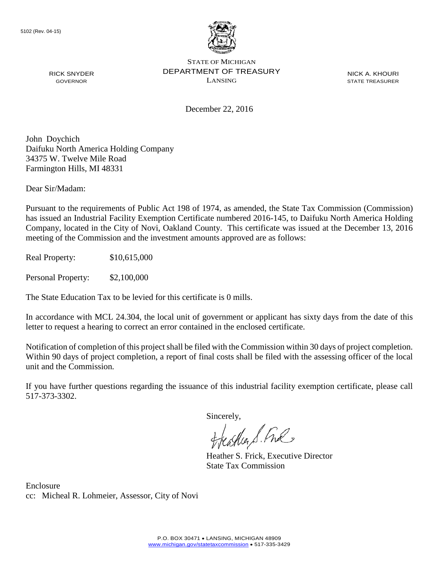

NICK A. KHOURI STATE TREASURER

December 22, 2016

John Doychich Daifuku North America Holding Company 34375 W. Twelve Mile Road Farmington Hills, MI 48331

Dear Sir/Madam:

RICK SNYDER GOVERNOR

Pursuant to the requirements of Public Act 198 of 1974, as amended, the State Tax Commission (Commission) has issued an Industrial Facility Exemption Certificate numbered 2016-145, to Daifuku North America Holding Company, located in the City of Novi, Oakland County. This certificate was issued at the December 13, 2016 meeting of the Commission and the investment amounts approved are as follows:

Real Property: \$10,615,000

Personal Property: \$2,100,000

The State Education Tax to be levied for this certificate is 0 mills.

In accordance with MCL 24.304, the local unit of government or applicant has sixty days from the date of this letter to request a hearing to correct an error contained in the enclosed certificate.

Notification of completion of this project shall be filed with the Commission within 30 days of project completion. Within 90 days of project completion, a report of final costs shall be filed with the assessing officer of the local unit and the Commission.

If you have further questions regarding the issuance of this industrial facility exemption certificate, please call 517-373-3302.

Sincerely,

teacher S. Ful

Heather S. Frick, Executive Director State Tax Commission

Enclosure cc: Micheal R. Lohmeier, Assessor, City of Novi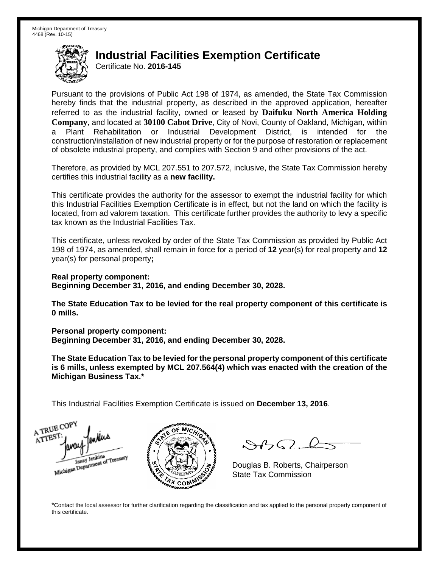Certificate No. **2016-145**

Pursuant to the provisions of Public Act 198 of 1974, as amended, the State Tax Commission hereby finds that the industrial property, as described in the approved application, hereafter referred to as the industrial facility, owned or leased by **Daifuku North America Holding Company**, and located at **30100 Cabot Drive**, City of Novi, County of Oakland, Michigan, within a Plant Rehabilitation or Industrial Development District, is intended for the construction/installation of new industrial property or for the purpose of restoration or replacement of obsolete industrial property, and complies with Section 9 and other provisions of the act.

Therefore, as provided by MCL 207.551 to 207.572, inclusive, the State Tax Commission hereby certifies this industrial facility as a **new facility.**

This certificate provides the authority for the assessor to exempt the industrial facility for which this Industrial Facilities Exemption Certificate is in effect, but not the land on which the facility is located, from ad valorem taxation. This certificate further provides the authority to levy a specific tax known as the Industrial Facilities Tax.

This certificate, unless revoked by order of the State Tax Commission as provided by Public Act 198 of 1974, as amended, shall remain in force for a period of **12** year(s) for real property and **12** year(s) for personal property**;**

**Real property component: Beginning December 31, 2016, and ending December 30, 2028.**

**The State Education Tax to be levied for the real property component of this certificate is 0 mills.**

**Personal property component:**

**Beginning December 31, 2016, and ending December 30, 2028.**

**The State Education Tax to be levied for the personal property component of this certificate is 6 mills, unless exempted by MCL 207.564(4) which was enacted with the creation of the Michigan Business Tax.\***

This Industrial Facilities Exemption Certificate is issued on **December 13, 2016**.

A TRUE COP ATTEST Janay Jenkins<br>Michigan Department of Treasury



 $\mathcal{S}$ 

Douglas B. Roberts, Chairperson State Tax Commission

\*Contact the local assessor for further clarification regarding the classification and tax applied to the personal property component of this certificate.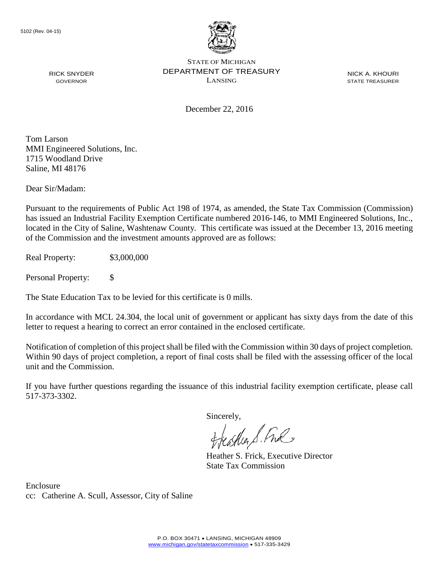

NICK A. KHOURI STATE TREASURER

December 22, 2016

Tom Larson MMI Engineered Solutions, Inc. 1715 Woodland Drive Saline, MI 48176

RICK SNYDER GOVERNOR

Dear Sir/Madam:

Pursuant to the requirements of Public Act 198 of 1974, as amended, the State Tax Commission (Commission) has issued an Industrial Facility Exemption Certificate numbered 2016-146, to MMI Engineered Solutions, Inc., located in the City of Saline, Washtenaw County. This certificate was issued at the December 13, 2016 meeting of the Commission and the investment amounts approved are as follows:

Real Property: \$3,000,000

Personal Property: \$

The State Education Tax to be levied for this certificate is 0 mills.

In accordance with MCL 24.304, the local unit of government or applicant has sixty days from the date of this letter to request a hearing to correct an error contained in the enclosed certificate.

Notification of completion of this project shall be filed with the Commission within 30 days of project completion. Within 90 days of project completion, a report of final costs shall be filed with the assessing officer of the local unit and the Commission.

If you have further questions regarding the issuance of this industrial facility exemption certificate, please call 517-373-3302.

Sincerely,<br>Freather S. Free

Heather S. Frick, Executive Director State Tax Commission

Enclosure cc: Catherine A. Scull, Assessor, City of Saline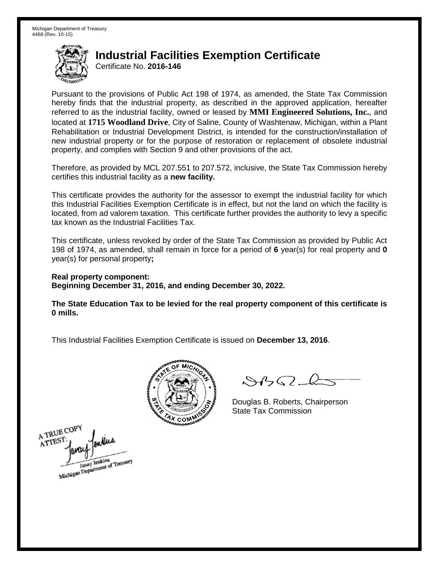Certificate No. **2016-146**

Pursuant to the provisions of Public Act 198 of 1974, as amended, the State Tax Commission hereby finds that the industrial property, as described in the approved application, hereafter referred to as the industrial facility, owned or leased by **MMI Engineered Solutions, Inc.**, and located at **1715 Woodland Drive**, City of Saline, County of Washtenaw, Michigan, within a Plant Rehabilitation or Industrial Development District, is intended for the construction/installation of new industrial property or for the purpose of restoration or replacement of obsolete industrial property, and complies with Section 9 and other provisions of the act.

Therefore, as provided by MCL 207.551 to 207.572, inclusive, the State Tax Commission hereby certifies this industrial facility as a **new facility.**

This certificate provides the authority for the assessor to exempt the industrial facility for which this Industrial Facilities Exemption Certificate is in effect, but not the land on which the facility is located, from ad valorem taxation. This certificate further provides the authority to levy a specific tax known as the Industrial Facilities Tax.

This certificate, unless revoked by order of the State Tax Commission as provided by Public Act 198 of 1974, as amended, shall remain in force for a period of **6** year(s) for real property and **0** year(s) for personal property**;**

**Real property component: Beginning December 31, 2016, and ending December 30, 2022.**

**The State Education Tax to be levied for the real property component of this certificate is 0 mills.**



 $8459 - 6$ 

Douglas B. Roberts, Chairperson State Tax Commission

A TRUE COPY enters ATTEST Janay Jenkins<br>Michigan Department of Treasury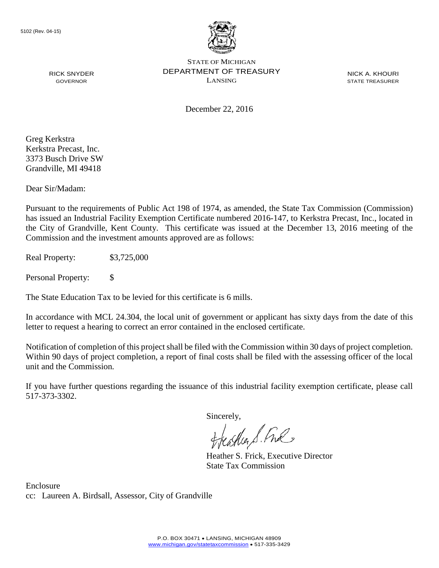

NICK A. KHOURI STATE TREASURER

December 22, 2016

Greg Kerkstra Kerkstra Precast, Inc. 3373 Busch Drive SW Grandville, MI 49418

RICK SNYDER GOVERNOR

Dear Sir/Madam:

Pursuant to the requirements of Public Act 198 of 1974, as amended, the State Tax Commission (Commission) has issued an Industrial Facility Exemption Certificate numbered 2016-147, to Kerkstra Precast, Inc., located in the City of Grandville, Kent County. This certificate was issued at the December 13, 2016 meeting of the Commission and the investment amounts approved are as follows:

Real Property: \$3,725,000

Personal Property: \$

The State Education Tax to be levied for this certificate is 6 mills.

In accordance with MCL 24.304, the local unit of government or applicant has sixty days from the date of this letter to request a hearing to correct an error contained in the enclosed certificate.

Notification of completion of this project shall be filed with the Commission within 30 days of project completion. Within 90 days of project completion, a report of final costs shall be filed with the assessing officer of the local unit and the Commission.

If you have further questions regarding the issuance of this industrial facility exemption certificate, please call 517-373-3302.

Sincerely,

teaglier S. Ful

Heather S. Frick, Executive Director State Tax Commission

Enclosure cc: Laureen A. Birdsall, Assessor, City of Grandville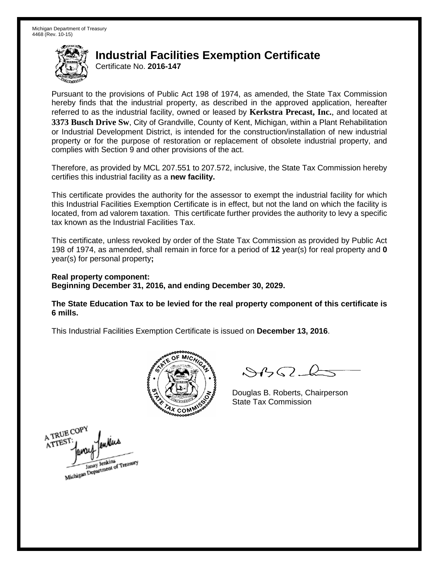Certificate No. **2016-147**

Pursuant to the provisions of Public Act 198 of 1974, as amended, the State Tax Commission hereby finds that the industrial property, as described in the approved application, hereafter referred to as the industrial facility, owned or leased by **Kerkstra Precast, Inc.**, and located at **3373 Busch Drive Sw**, City of Grandville, County of Kent, Michigan, within a Plant Rehabilitation or Industrial Development District, is intended for the construction/installation of new industrial property or for the purpose of restoration or replacement of obsolete industrial property, and complies with Section 9 and other provisions of the act.

Therefore, as provided by MCL 207.551 to 207.572, inclusive, the State Tax Commission hereby certifies this industrial facility as a **new facility.**

This certificate provides the authority for the assessor to exempt the industrial facility for which this Industrial Facilities Exemption Certificate is in effect, but not the land on which the facility is located, from ad valorem taxation. This certificate further provides the authority to levy a specific tax known as the Industrial Facilities Tax.

This certificate, unless revoked by order of the State Tax Commission as provided by Public Act 198 of 1974, as amended, shall remain in force for a period of **12** year(s) for real property and **0** year(s) for personal property**;**

**Real property component: Beginning December 31, 2016, and ending December 30, 2029.**

**The State Education Tax to be levied for the real property component of this certificate is 6 mills.**



 $\mathcal{A}_{1} \cap \mathcal{C}$ 

Douglas B. Roberts, Chairperson State Tax Commission

A TRUE COPY ATTES Janay Jenkins<br>Michigan Department of Treasury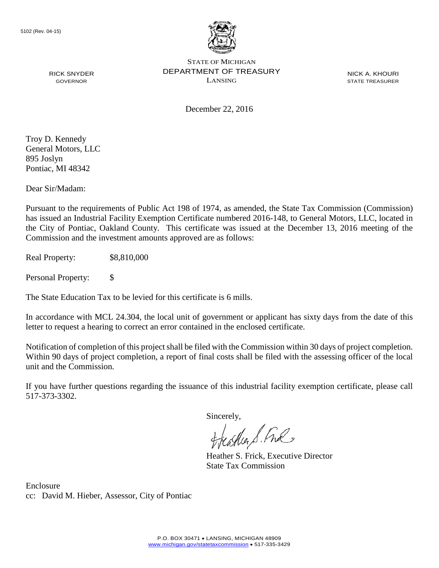

NICK A. KHOURI STATE TREASURER

RICK SNYDER GOVERNOR

December 22, 2016

Troy D. Kennedy General Motors, LLC 895 Joslyn Pontiac, MI 48342

Dear Sir/Madam:

Pursuant to the requirements of Public Act 198 of 1974, as amended, the State Tax Commission (Commission) has issued an Industrial Facility Exemption Certificate numbered 2016-148, to General Motors, LLC, located in the City of Pontiac, Oakland County. This certificate was issued at the December 13, 2016 meeting of the Commission and the investment amounts approved are as follows:

Real Property: \$8,810,000

Personal Property: \$

The State Education Tax to be levied for this certificate is 6 mills.

In accordance with MCL 24.304, the local unit of government or applicant has sixty days from the date of this letter to request a hearing to correct an error contained in the enclosed certificate.

Notification of completion of this project shall be filed with the Commission within 30 days of project completion. Within 90 days of project completion, a report of final costs shall be filed with the assessing officer of the local unit and the Commission.

If you have further questions regarding the issuance of this industrial facility exemption certificate, please call 517-373-3302.

Sincerely,

teather S. Ful

Heather S. Frick, Executive Director State Tax Commission

Enclosure cc: David M. Hieber, Assessor, City of Pontiac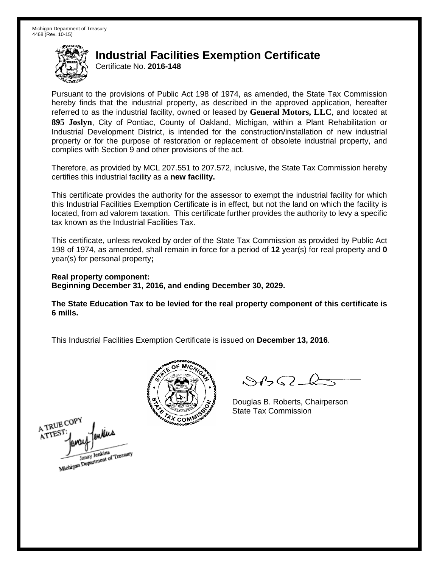Certificate No. **2016-148**

Pursuant to the provisions of Public Act 198 of 1974, as amended, the State Tax Commission hereby finds that the industrial property, as described in the approved application, hereafter referred to as the industrial facility, owned or leased by **General Motors, LLC**, and located at **895 Joslyn**, City of Pontiac, County of Oakland, Michigan, within a Plant Rehabilitation or Industrial Development District, is intended for the construction/installation of new industrial property or for the purpose of restoration or replacement of obsolete industrial property, and complies with Section 9 and other provisions of the act.

Therefore, as provided by MCL 207.551 to 207.572, inclusive, the State Tax Commission hereby certifies this industrial facility as a **new facility.**

This certificate provides the authority for the assessor to exempt the industrial facility for which this Industrial Facilities Exemption Certificate is in effect, but not the land on which the facility is located, from ad valorem taxation. This certificate further provides the authority to levy a specific tax known as the Industrial Facilities Tax.

This certificate, unless revoked by order of the State Tax Commission as provided by Public Act 198 of 1974, as amended, shall remain in force for a period of **12** year(s) for real property and **0** year(s) for personal property**;**

**Real property component: Beginning December 31, 2016, and ending December 30, 2029.**

**The State Education Tax to be levied for the real property component of this certificate is 6 mills.**



 $8450 - 6$ 

Douglas B. Roberts, Chairperson State Tax Commission

A TRUE COPY ATTEST Janay Jenkins<br>Michigan Department of Treasury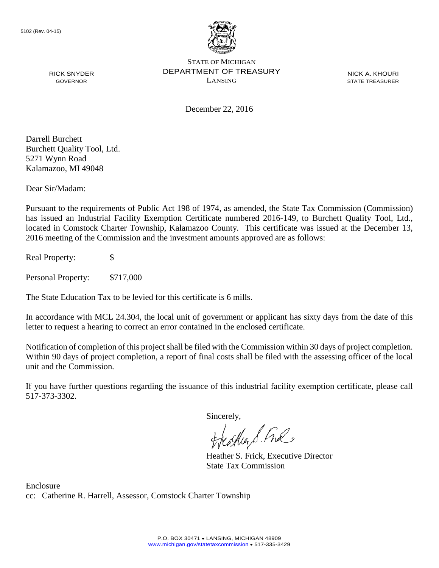

NICK A. KHOURI STATE TREASURER

December 22, 2016

Darrell Burchett Burchett Quality Tool, Ltd. 5271 Wynn Road Kalamazoo, MI 49048

RICK SNYDER GOVERNOR

Dear Sir/Madam:

Pursuant to the requirements of Public Act 198 of 1974, as amended, the State Tax Commission (Commission) has issued an Industrial Facility Exemption Certificate numbered 2016-149, to Burchett Quality Tool, Ltd., located in Comstock Charter Township, Kalamazoo County. This certificate was issued at the December 13, 2016 meeting of the Commission and the investment amounts approved are as follows:

Real Property: \$

Personal Property: \$717,000

The State Education Tax to be levied for this certificate is 6 mills.

In accordance with MCL 24.304, the local unit of government or applicant has sixty days from the date of this letter to request a hearing to correct an error contained in the enclosed certificate.

Notification of completion of this project shall be filed with the Commission within 30 days of project completion. Within 90 days of project completion, a report of final costs shall be filed with the assessing officer of the local unit and the Commission.

If you have further questions regarding the issuance of this industrial facility exemption certificate, please call 517-373-3302.

Sincerely,

feather S. Ful

Heather S. Frick, Executive Director State Tax Commission

Enclosure cc: Catherine R. Harrell, Assessor, Comstock Charter Township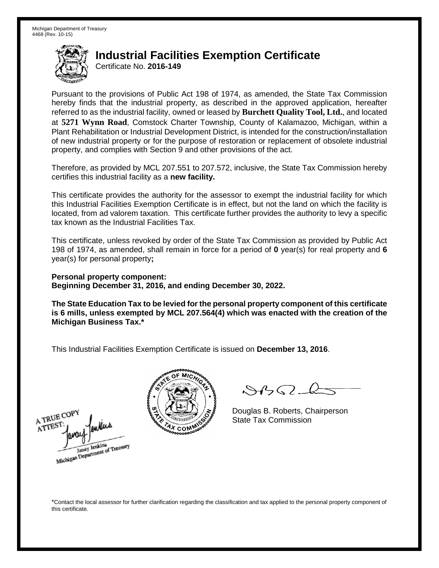Certificate No. **2016-149**

Pursuant to the provisions of Public Act 198 of 1974, as amended, the State Tax Commission hereby finds that the industrial property, as described in the approved application, hereafter referred to as the industrial facility, owned or leased by **Burchett Quality Tool, Ltd.**, and located at **5271 Wynn Road**, Comstock Charter Township, County of Kalamazoo, Michigan, within a Plant Rehabilitation or Industrial Development District, is intended for the construction/installation of new industrial property or for the purpose of restoration or replacement of obsolete industrial property, and complies with Section 9 and other provisions of the act.

Therefore, as provided by MCL 207.551 to 207.572, inclusive, the State Tax Commission hereby certifies this industrial facility as a **new facility.**

This certificate provides the authority for the assessor to exempt the industrial facility for which this Industrial Facilities Exemption Certificate is in effect, but not the land on which the facility is located, from ad valorem taxation. This certificate further provides the authority to levy a specific tax known as the Industrial Facilities Tax.

This certificate, unless revoked by order of the State Tax Commission as provided by Public Act 198 of 1974, as amended, shall remain in force for a period of **0** year(s) for real property and **6** year(s) for personal property**;**

**Personal property component: Beginning December 31, 2016, and ending December 30, 2022.**

**The State Education Tax to be levied for the personal property component of this certificate is 6 mills, unless exempted by MCL 207.564(4) which was enacted with the creation of the Michigan Business Tax.\***

This Industrial Facilities Exemption Certificate is issued on **December 13, 2016**.





 $\mathcal{S}4\mathcal{G}$ 

Douglas B. Roberts, Chairperson State Tax Commission

\*Contact the local assessor for further clarification regarding the classification and tax applied to the personal property component of this certificate.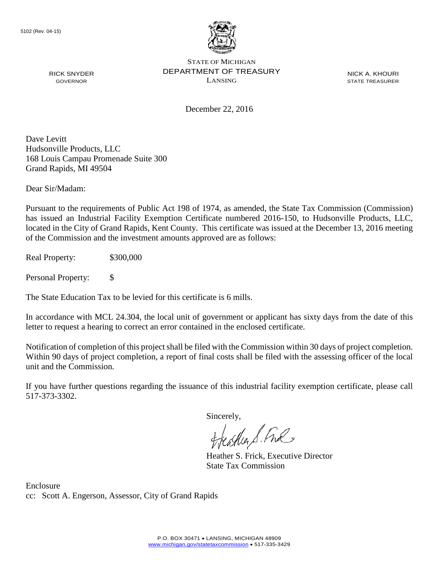

RICK SNYDER GOVERNOR

STATE OF MICHIGAN DEPARTMENT OF TREASURY LANSING

NICK A. KHOURI STATE TREASURER

December 22, 2016

Dave Levitt Hudsonville Products, LLC 168 Louis Campau Promenade Suite 300 Grand Rapids, MI 49504

Dear Sir/Madam:

Pursuant to the requirements of Public Act 198 of 1974, as amended, the State Tax Commission (Commission) has issued an Industrial Facility Exemption Certificate numbered 2016-150, to Hudsonville Products, LLC, located in the City of Grand Rapids, Kent County. This certificate was issued at the December 13, 2016 meeting of the Commission and the investment amounts approved are as follows:

Real Property: \$300,000

Personal Property: \$

The State Education Tax to be levied for this certificate is 6 mills.

In accordance with MCL 24.304, the local unit of government or applicant has sixty days from the date of this letter to request a hearing to correct an error contained in the enclosed certificate.

Notification of completion of this project shall be filed with the Commission within 30 days of project completion. Within 90 days of project completion, a report of final costs shall be filed with the assessing officer of the local unit and the Commission.

If you have further questions regarding the issuance of this industrial facility exemption certificate, please call 517-373-3302.

Sincerely,

teather S. Ful

Heather S. Frick, Executive Director State Tax Commission

Enclosure cc: Scott A. Engerson, Assessor, City of Grand Rapids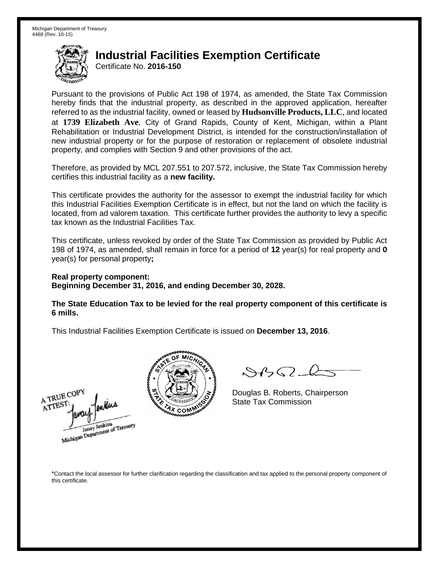Certificate No. **2016-150**

Pursuant to the provisions of Public Act 198 of 1974, as amended, the State Tax Commission hereby finds that the industrial property, as described in the approved application, hereafter referred to as the industrial facility, owned or leased by **Hudsonville Products, LLC**, and located at **1739 Elizabeth Ave**, City of Grand Rapids, County of Kent, Michigan, within a Plant Rehabilitation or Industrial Development District, is intended for the construction/installation of new industrial property or for the purpose of restoration or replacement of obsolete industrial property, and complies with Section 9 and other provisions of the act.

Therefore, as provided by MCL 207.551 to 207.572, inclusive, the State Tax Commission hereby certifies this industrial facility as a **new facility.**

This certificate provides the authority for the assessor to exempt the industrial facility for which this Industrial Facilities Exemption Certificate is in effect, but not the land on which the facility is located, from ad valorem taxation. This certificate further provides the authority to levy a specific tax known as the Industrial Facilities Tax.

This certificate, unless revoked by order of the State Tax Commission as provided by Public Act 198 of 1974, as amended, shall remain in force for a period of **12** year(s) for real property and **0** year(s) for personal property**;**

#### **Real property component: Beginning December 31, 2016, and ending December 30, 2028.**

**The State Education Tax to be levied for the real property component of this certificate is 6 mills.**

This Industrial Facilities Exemption Certificate is issued on **December 13, 2016**.





 $\mathcal{A}$ 

Douglas B. Roberts, Chairperson State Tax Commission

\*Contact the local assessor for further clarification regarding the classification and tax applied to the personal property component of this certificate.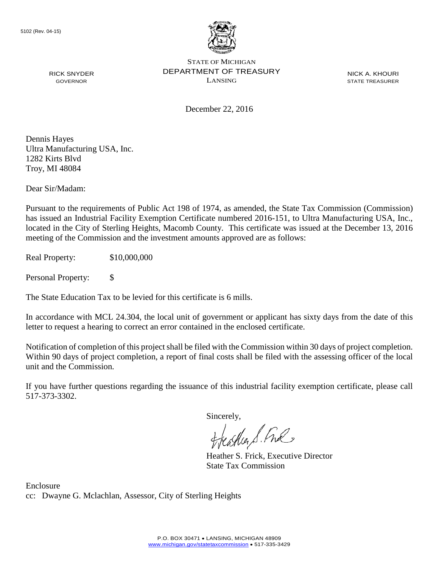

NICK A. KHOURI STATE TREASURER

December 22, 2016

Dennis Hayes Ultra Manufacturing USA, Inc. 1282 Kirts Blvd Troy, MI 48084

RICK SNYDER GOVERNOR

Dear Sir/Madam:

Pursuant to the requirements of Public Act 198 of 1974, as amended, the State Tax Commission (Commission) has issued an Industrial Facility Exemption Certificate numbered 2016-151, to Ultra Manufacturing USA, Inc., located in the City of Sterling Heights, Macomb County. This certificate was issued at the December 13, 2016 meeting of the Commission and the investment amounts approved are as follows:

Real Property: \$10,000,000

Personal Property: \$

The State Education Tax to be levied for this certificate is 6 mills.

In accordance with MCL 24.304, the local unit of government or applicant has sixty days from the date of this letter to request a hearing to correct an error contained in the enclosed certificate.

Notification of completion of this project shall be filed with the Commission within 30 days of project completion. Within 90 days of project completion, a report of final costs shall be filed with the assessing officer of the local unit and the Commission.

If you have further questions regarding the issuance of this industrial facility exemption certificate, please call 517-373-3302.

Sincerely,

teaglier S. Ful

Heather S. Frick, Executive Director State Tax Commission

Enclosure cc: Dwayne G. Mclachlan, Assessor, City of Sterling Heights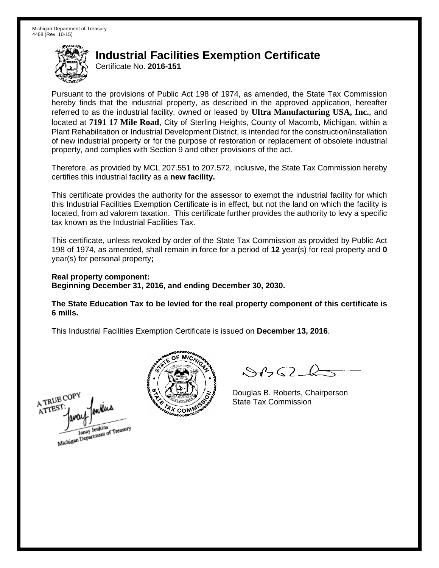Certificate No. **2016-151**

Pursuant to the provisions of Public Act 198 of 1974, as amended, the State Tax Commission hereby finds that the industrial property, as described in the approved application, hereafter referred to as the industrial facility, owned or leased by **Ultra Manufacturing USA, Inc.**, and located at **7191 17 Mile Road**, City of Sterling Heights, County of Macomb, Michigan, within a Plant Rehabilitation or Industrial Development District, is intended for the construction/installation of new industrial property or for the purpose of restoration or replacement of obsolete industrial property, and complies with Section 9 and other provisions of the act.

Therefore, as provided by MCL 207.551 to 207.572, inclusive, the State Tax Commission hereby certifies this industrial facility as a **new facility.**

This certificate provides the authority for the assessor to exempt the industrial facility for which this Industrial Facilities Exemption Certificate is in effect, but not the land on which the facility is located, from ad valorem taxation. This certificate further provides the authority to levy a specific tax known as the Industrial Facilities Tax.

This certificate, unless revoked by order of the State Tax Commission as provided by Public Act 198 of 1974, as amended, shall remain in force for a period of **12** year(s) for real property and **0** year(s) for personal property**;**

**Real property component: Beginning December 31, 2016, and ending December 30, 2030.**

**The State Education Tax to be levied for the real property component of this certificate is 6 mills.**





 $\mathcal{A}$ 

Douglas B. Roberts, Chairperson State Tax Commission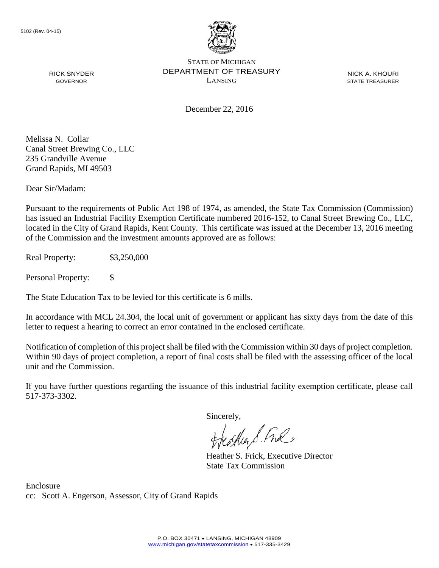

NICK A. KHOURI STATE TREASURER

December 22, 2016

Melissa N. Collar Canal Street Brewing Co., LLC 235 Grandville Avenue Grand Rapids, MI 49503

RICK SNYDER GOVERNOR

Dear Sir/Madam:

Pursuant to the requirements of Public Act 198 of 1974, as amended, the State Tax Commission (Commission) has issued an Industrial Facility Exemption Certificate numbered 2016-152, to Canal Street Brewing Co., LLC, located in the City of Grand Rapids, Kent County. This certificate was issued at the December 13, 2016 meeting of the Commission and the investment amounts approved are as follows:

Real Property: \$3,250,000

Personal Property: \$

The State Education Tax to be levied for this certificate is 6 mills.

In accordance with MCL 24.304, the local unit of government or applicant has sixty days from the date of this letter to request a hearing to correct an error contained in the enclosed certificate.

Notification of completion of this project shall be filed with the Commission within 30 days of project completion. Within 90 days of project completion, a report of final costs shall be filed with the assessing officer of the local unit and the Commission.

If you have further questions regarding the issuance of this industrial facility exemption certificate, please call 517-373-3302.

Sincerely,

teather S. Ful

Heather S. Frick, Executive Director State Tax Commission

Enclosure cc: Scott A. Engerson, Assessor, City of Grand Rapids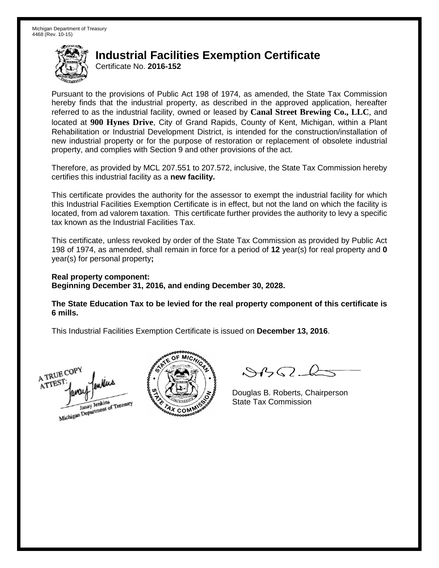Certificate No. **2016-152**

Pursuant to the provisions of Public Act 198 of 1974, as amended, the State Tax Commission hereby finds that the industrial property, as described in the approved application, hereafter referred to as the industrial facility, owned or leased by **Canal Street Brewing Co., LLC**, and located at **900 Hynes Drive**, City of Grand Rapids, County of Kent, Michigan, within a Plant Rehabilitation or Industrial Development District, is intended for the construction/installation of new industrial property or for the purpose of restoration or replacement of obsolete industrial property, and complies with Section 9 and other provisions of the act.

Therefore, as provided by MCL 207.551 to 207.572, inclusive, the State Tax Commission hereby certifies this industrial facility as a **new facility.**

This certificate provides the authority for the assessor to exempt the industrial facility for which this Industrial Facilities Exemption Certificate is in effect, but not the land on which the facility is located, from ad valorem taxation. This certificate further provides the authority to levy a specific tax known as the Industrial Facilities Tax.

This certificate, unless revoked by order of the State Tax Commission as provided by Public Act 198 of 1974, as amended, shall remain in force for a period of **12** year(s) for real property and **0** year(s) for personal property**;**

**Real property component: Beginning December 31, 2016, and ending December 30, 2028.**

**The State Education Tax to be levied for the real property component of this certificate is 6 mills.**

A TRUE COP ATTEST Janay Jenkins<br>Michigan Department of Treasury



 $\mathcal{A}_{1} \cap \mathcal{C}$ 

Douglas B. Roberts, Chairperson State Tax Commission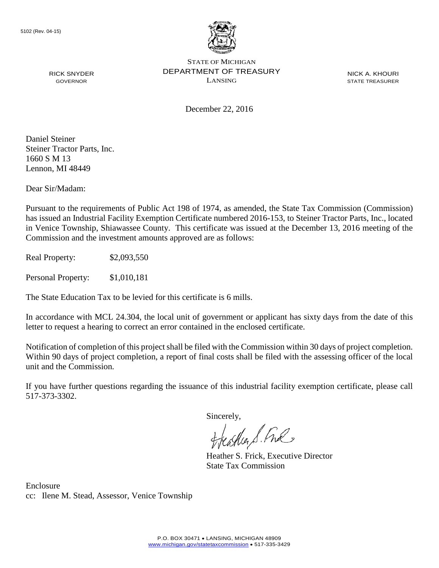

NICK A. KHOURI STATE TREASURER

December 22, 2016

Daniel Steiner Steiner Tractor Parts, Inc. 1660 S M 13 Lennon, MI 48449

RICK SNYDER GOVERNOR

Dear Sir/Madam:

Pursuant to the requirements of Public Act 198 of 1974, as amended, the State Tax Commission (Commission) has issued an Industrial Facility Exemption Certificate numbered 2016-153, to Steiner Tractor Parts, Inc., located in Venice Township, Shiawassee County. This certificate was issued at the December 13, 2016 meeting of the Commission and the investment amounts approved are as follows:

Real Property: \$2,093,550

Personal Property: \$1,010,181

The State Education Tax to be levied for this certificate is 6 mills.

In accordance with MCL 24.304, the local unit of government or applicant has sixty days from the date of this letter to request a hearing to correct an error contained in the enclosed certificate.

Notification of completion of this project shall be filed with the Commission within 30 days of project completion. Within 90 days of project completion, a report of final costs shall be filed with the assessing officer of the local unit and the Commission.

If you have further questions regarding the issuance of this industrial facility exemption certificate, please call 517-373-3302.

Sincerely,

feastles S. Ful

Heather S. Frick, Executive Director State Tax Commission

Enclosure cc: Ilene M. Stead, Assessor, Venice Township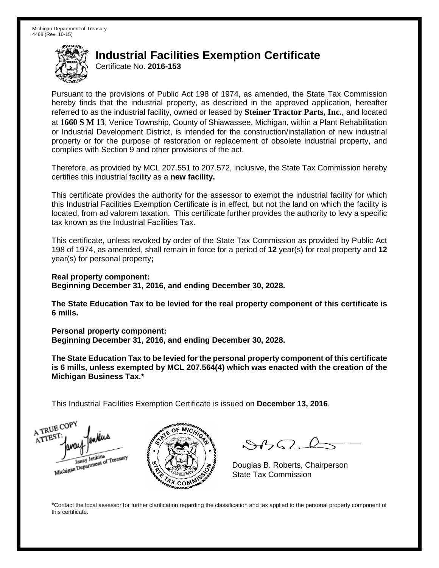Certificate No. **2016-153**

Pursuant to the provisions of Public Act 198 of 1974, as amended, the State Tax Commission hereby finds that the industrial property, as described in the approved application, hereafter referred to as the industrial facility, owned or leased by **Steiner Tractor Parts, Inc.**, and located at **1660 S M 13**, Venice Township, County of Shiawassee, Michigan, within a Plant Rehabilitation or Industrial Development District, is intended for the construction/installation of new industrial property or for the purpose of restoration or replacement of obsolete industrial property, and complies with Section 9 and other provisions of the act.

Therefore, as provided by MCL 207.551 to 207.572, inclusive, the State Tax Commission hereby certifies this industrial facility as a **new facility.**

This certificate provides the authority for the assessor to exempt the industrial facility for which this Industrial Facilities Exemption Certificate is in effect, but not the land on which the facility is located, from ad valorem taxation. This certificate further provides the authority to levy a specific tax known as the Industrial Facilities Tax.

This certificate, unless revoked by order of the State Tax Commission as provided by Public Act 198 of 1974, as amended, shall remain in force for a period of **12** year(s) for real property and **12** year(s) for personal property**;**

**Real property component: Beginning December 31, 2016, and ending December 30, 2028.**

**The State Education Tax to be levied for the real property component of this certificate is 6 mills.**

**Personal property component:**

**Beginning December 31, 2016, and ending December 30, 2028.**

**The State Education Tax to be levied for the personal property component of this certificate is 6 mills, unless exempted by MCL 207.564(4) which was enacted with the creation of the Michigan Business Tax.\***

This Industrial Facilities Exemption Certificate is issued on **December 13, 2016**.

A TRUE COP ATTEST Janay Jenkins<br>Michigan Department of Treasury



 $\mathcal{S}$ 

Douglas B. Roberts, Chairperson State Tax Commission

\*Contact the local assessor for further clarification regarding the classification and tax applied to the personal property component of this certificate.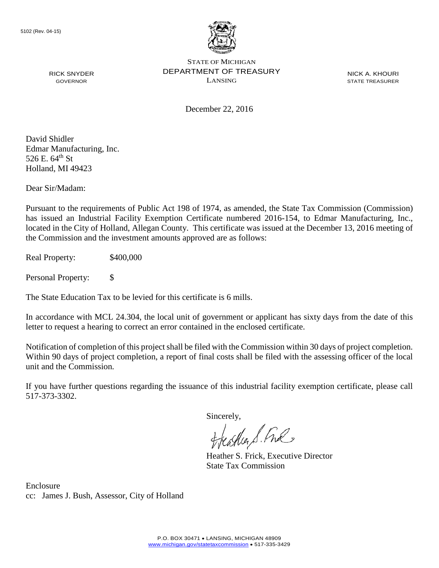

NICK A. KHOURI STATE TREASURER

December 22, 2016

David Shidler Edmar Manufacturing, Inc. 526 E.  $64^{\text{th}}$  St Holland, MI 49423

RICK SNYDER GOVERNOR

Dear Sir/Madam:

Pursuant to the requirements of Public Act 198 of 1974, as amended, the State Tax Commission (Commission) has issued an Industrial Facility Exemption Certificate numbered 2016-154, to Edmar Manufacturing, Inc., located in the City of Holland, Allegan County. This certificate was issued at the December 13, 2016 meeting of the Commission and the investment amounts approved are as follows:

Real Property: \$400,000

Personal Property: \$

The State Education Tax to be levied for this certificate is 6 mills.

In accordance with MCL 24.304, the local unit of government or applicant has sixty days from the date of this letter to request a hearing to correct an error contained in the enclosed certificate.

Notification of completion of this project shall be filed with the Commission within 30 days of project completion. Within 90 days of project completion, a report of final costs shall be filed with the assessing officer of the local unit and the Commission.

If you have further questions regarding the issuance of this industrial facility exemption certificate, please call 517-373-3302.

Sincerely,

teather S. Ful

Heather S. Frick, Executive Director State Tax Commission

Enclosure cc: James J. Bush, Assessor, City of Holland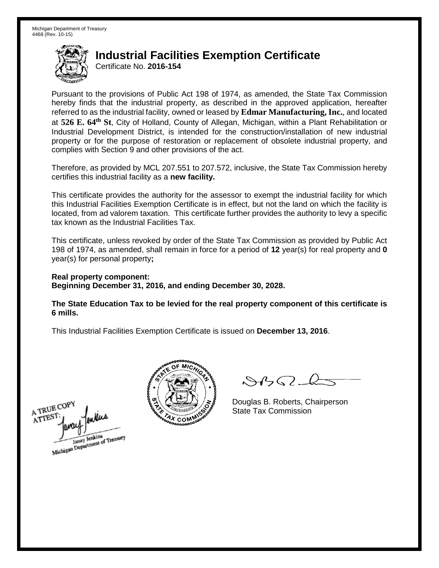Certificate No. **2016-154**

Pursuant to the provisions of Public Act 198 of 1974, as amended, the State Tax Commission hereby finds that the industrial property, as described in the approved application, hereafter referred to as the industrial facility, owned or leased by **Edmar Manufacturing, Inc.**, and located at **526 E. 64th St**, City of Holland, County of Allegan, Michigan, within a Plant Rehabilitation or Industrial Development District, is intended for the construction/installation of new industrial property or for the purpose of restoration or replacement of obsolete industrial property, and complies with Section 9 and other provisions of the act.

Therefore, as provided by MCL 207.551 to 207.572, inclusive, the State Tax Commission hereby certifies this industrial facility as a **new facility.**

This certificate provides the authority for the assessor to exempt the industrial facility for which this Industrial Facilities Exemption Certificate is in effect, but not the land on which the facility is located, from ad valorem taxation. This certificate further provides the authority to levy a specific tax known as the Industrial Facilities Tax.

This certificate, unless revoked by order of the State Tax Commission as provided by Public Act 198 of 1974, as amended, shall remain in force for a period of **12** year(s) for real property and **0** year(s) for personal property**;**

**Real property component: Beginning December 31, 2016, and ending December 30, 2028.**

**The State Education Tax to be levied for the real property component of this certificate is 6 mills.**





 $84562 - 6$ 

Douglas B. Roberts, Chairperson State Tax Commission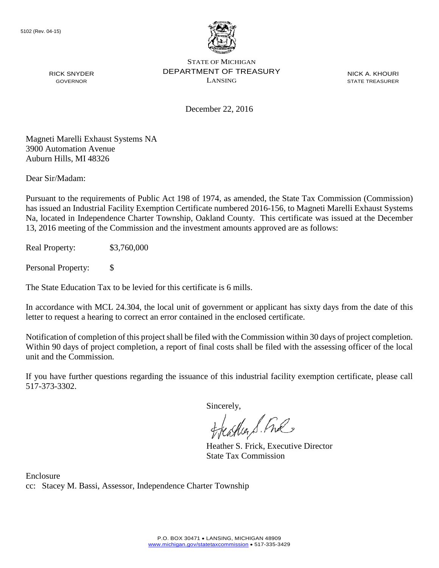

NICK A. KHOURI STATE TREASURER

December 22, 2016

Magneti Marelli Exhaust Systems NA 3900 Automation Avenue Auburn Hills, MI 48326

RICK SNYDER GOVERNOR

Dear Sir/Madam:

Pursuant to the requirements of Public Act 198 of 1974, as amended, the State Tax Commission (Commission) has issued an Industrial Facility Exemption Certificate numbered 2016-156, to Magneti Marelli Exhaust Systems Na, located in Independence Charter Township, Oakland County. This certificate was issued at the December 13, 2016 meeting of the Commission and the investment amounts approved are as follows:

Real Property: \$3,760,000

Personal Property: \$

The State Education Tax to be levied for this certificate is 6 mills.

In accordance with MCL 24.304, the local unit of government or applicant has sixty days from the date of this letter to request a hearing to correct an error contained in the enclosed certificate.

Notification of completion of this project shall be filed with the Commission within 30 days of project completion. Within 90 days of project completion, a report of final costs shall be filed with the assessing officer of the local unit and the Commission.

If you have further questions regarding the issuance of this industrial facility exemption certificate, please call 517-373-3302.

Sincerely,<br>Freashier S. Free

Heather S. Frick, Executive Director State Tax Commission

Enclosure cc: Stacey M. Bassi, Assessor, Independence Charter Township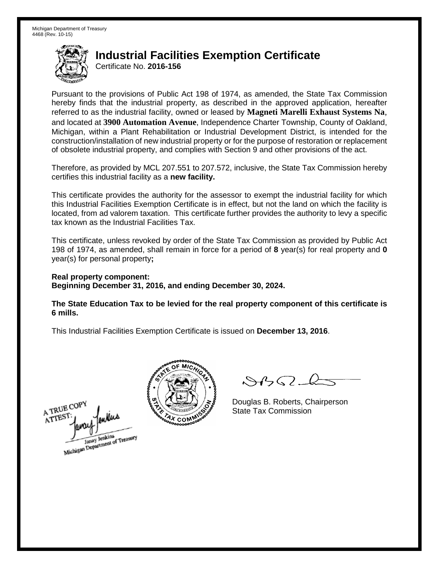Certificate No. **2016-156**

Pursuant to the provisions of Public Act 198 of 1974, as amended, the State Tax Commission hereby finds that the industrial property, as described in the approved application, hereafter referred to as the industrial facility, owned or leased by **Magneti Marelli Exhaust Systems Na**, and located at **3900 Automation Avenue**, Independence Charter Township, County of Oakland, Michigan, within a Plant Rehabilitation or Industrial Development District, is intended for the construction/installation of new industrial property or for the purpose of restoration or replacement of obsolete industrial property, and complies with Section 9 and other provisions of the act.

Therefore, as provided by MCL 207.551 to 207.572, inclusive, the State Tax Commission hereby certifies this industrial facility as a **new facility.**

This certificate provides the authority for the assessor to exempt the industrial facility for which this Industrial Facilities Exemption Certificate is in effect, but not the land on which the facility is located, from ad valorem taxation. This certificate further provides the authority to levy a specific tax known as the Industrial Facilities Tax.

This certificate, unless revoked by order of the State Tax Commission as provided by Public Act 198 of 1974, as amended, shall remain in force for a period of **8** year(s) for real property and **0** year(s) for personal property**;**

**Real property component: Beginning December 31, 2016, and ending December 30, 2024.**

**The State Education Tax to be levied for the real property component of this certificate is 6 mills.**

A TRUE COPY ATTEST Michigan Department of Treasury



 $84562 - 6$ 

Douglas B. Roberts, Chairperson State Tax Commission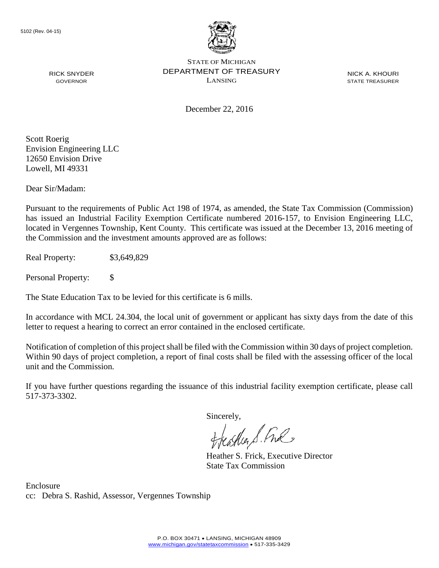

NICK A. KHOURI STATE TREASURER

December 22, 2016

Scott Roerig Envision Engineering LLC 12650 Envision Drive Lowell, MI 49331

RICK SNYDER GOVERNOR

Dear Sir/Madam:

Pursuant to the requirements of Public Act 198 of 1974, as amended, the State Tax Commission (Commission) has issued an Industrial Facility Exemption Certificate numbered 2016-157, to Envision Engineering LLC, located in Vergennes Township, Kent County. This certificate was issued at the December 13, 2016 meeting of the Commission and the investment amounts approved are as follows:

Real Property: \$3,649,829

Personal Property: \$

The State Education Tax to be levied for this certificate is 6 mills.

In accordance with MCL 24.304, the local unit of government or applicant has sixty days from the date of this letter to request a hearing to correct an error contained in the enclosed certificate.

Notification of completion of this project shall be filed with the Commission within 30 days of project completion. Within 90 days of project completion, a report of final costs shall be filed with the assessing officer of the local unit and the Commission.

If you have further questions regarding the issuance of this industrial facility exemption certificate, please call 517-373-3302.

Sincerely,

teaglien S. Ful

Heather S. Frick, Executive Director State Tax Commission

Enclosure cc: Debra S. Rashid, Assessor, Vergennes Township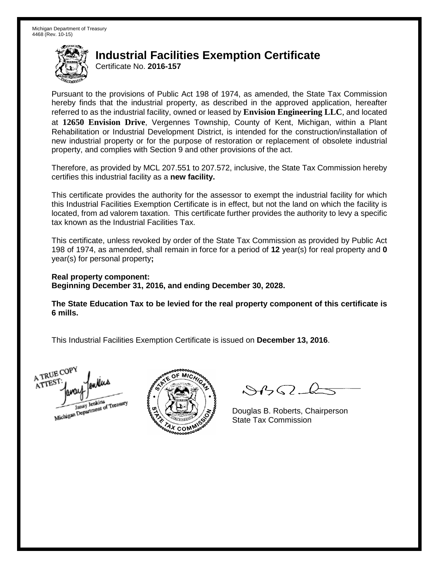Certificate No. **2016-157**

Pursuant to the provisions of Public Act 198 of 1974, as amended, the State Tax Commission hereby finds that the industrial property, as described in the approved application, hereafter referred to as the industrial facility, owned or leased by **Envision Engineering LLC**, and located at **12650 Envision Drive**, Vergennes Township, County of Kent, Michigan, within a Plant Rehabilitation or Industrial Development District, is intended for the construction/installation of new industrial property or for the purpose of restoration or replacement of obsolete industrial property, and complies with Section 9 and other provisions of the act.

Therefore, as provided by MCL 207.551 to 207.572, inclusive, the State Tax Commission hereby certifies this industrial facility as a **new facility.**

This certificate provides the authority for the assessor to exempt the industrial facility for which this Industrial Facilities Exemption Certificate is in effect, but not the land on which the facility is located, from ad valorem taxation. This certificate further provides the authority to levy a specific tax known as the Industrial Facilities Tax.

This certificate, unless revoked by order of the State Tax Commission as provided by Public Act 198 of 1974, as amended, shall remain in force for a period of **12** year(s) for real property and **0** year(s) for personal property**;**

**Real property component: Beginning December 31, 2016, and ending December 30, 2028.**

**The State Education Tax to be levied for the real property component of this certificate is 6 mills.**

A TRUE COP ATTEST Janay Jenkins<br>Michigan Department of Treasury



 $\mathcal{A}$ 

Douglas B. Roberts, Chairperson State Tax Commission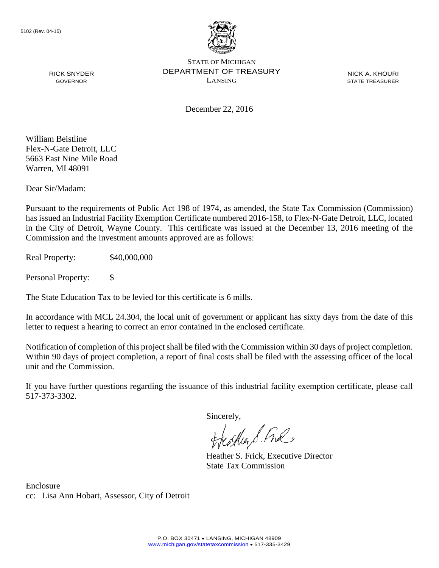

NICK A. KHOURI STATE TREASURER

December 22, 2016

William Beistline Flex-N-Gate Detroit, LLC 5663 East Nine Mile Road Warren, MI 48091

RICK SNYDER GOVERNOR

Dear Sir/Madam:

Pursuant to the requirements of Public Act 198 of 1974, as amended, the State Tax Commission (Commission) has issued an Industrial Facility Exemption Certificate numbered 2016-158, to Flex-N-Gate Detroit, LLC, located in the City of Detroit, Wayne County. This certificate was issued at the December 13, 2016 meeting of the Commission and the investment amounts approved are as follows:

Real Property: \$40,000,000

Personal Property: \$

The State Education Tax to be levied for this certificate is 6 mills.

In accordance with MCL 24.304, the local unit of government or applicant has sixty days from the date of this letter to request a hearing to correct an error contained in the enclosed certificate.

Notification of completion of this project shall be filed with the Commission within 30 days of project completion. Within 90 days of project completion, a report of final costs shall be filed with the assessing officer of the local unit and the Commission.

If you have further questions regarding the issuance of this industrial facility exemption certificate, please call 517-373-3302.

Sincerely,

teaglien S. Ful

Heather S. Frick, Executive Director State Tax Commission

Enclosure cc: Lisa Ann Hobart, Assessor, City of Detroit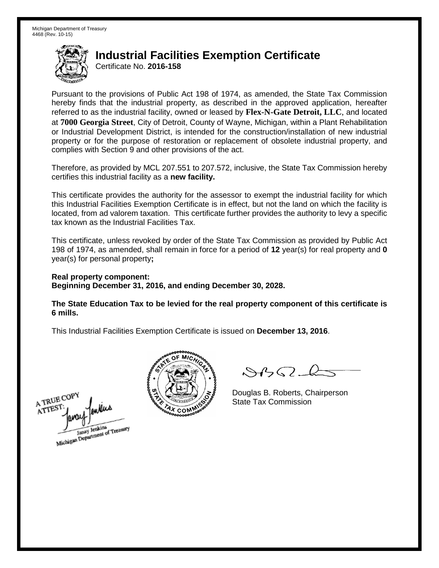Certificate No. **2016-158**

Pursuant to the provisions of Public Act 198 of 1974, as amended, the State Tax Commission hereby finds that the industrial property, as described in the approved application, hereafter referred to as the industrial facility, owned or leased by **Flex-N-Gate Detroit, LLC**, and located at **7000 Georgia Street**, City of Detroit, County of Wayne, Michigan, within a Plant Rehabilitation or Industrial Development District, is intended for the construction/installation of new industrial property or for the purpose of restoration or replacement of obsolete industrial property, and complies with Section 9 and other provisions of the act.

Therefore, as provided by MCL 207.551 to 207.572, inclusive, the State Tax Commission hereby certifies this industrial facility as a **new facility.**

This certificate provides the authority for the assessor to exempt the industrial facility for which this Industrial Facilities Exemption Certificate is in effect, but not the land on which the facility is located, from ad valorem taxation. This certificate further provides the authority to levy a specific tax known as the Industrial Facilities Tax.

This certificate, unless revoked by order of the State Tax Commission as provided by Public Act 198 of 1974, as amended, shall remain in force for a period of **12** year(s) for real property and **0** year(s) for personal property**;**

**Real property component: Beginning December 31, 2016, and ending December 30, 2028.**

**The State Education Tax to be levied for the real property component of this certificate is 6 mills.**





 $\mathcal{A}$ 

Douglas B. Roberts, Chairperson State Tax Commission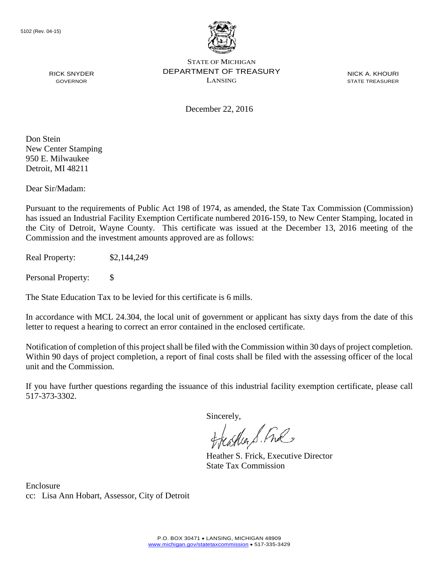

NICK A. KHOURI STATE TREASURER

December 22, 2016

Don Stein New Center Stamping 950 E. Milwaukee Detroit, MI 48211

RICK SNYDER GOVERNOR

Dear Sir/Madam:

Pursuant to the requirements of Public Act 198 of 1974, as amended, the State Tax Commission (Commission) has issued an Industrial Facility Exemption Certificate numbered 2016-159, to New Center Stamping, located in the City of Detroit, Wayne County. This certificate was issued at the December 13, 2016 meeting of the Commission and the investment amounts approved are as follows:

Real Property: \$2,144,249

Personal Property: \$

The State Education Tax to be levied for this certificate is 6 mills.

In accordance with MCL 24.304, the local unit of government or applicant has sixty days from the date of this letter to request a hearing to correct an error contained in the enclosed certificate.

Notification of completion of this project shall be filed with the Commission within 30 days of project completion. Within 90 days of project completion, a report of final costs shall be filed with the assessing officer of the local unit and the Commission.

If you have further questions regarding the issuance of this industrial facility exemption certificate, please call 517-373-3302.

Sincerely,

teather S. Ful

Heather S. Frick, Executive Director State Tax Commission

Enclosure cc: Lisa Ann Hobart, Assessor, City of Detroit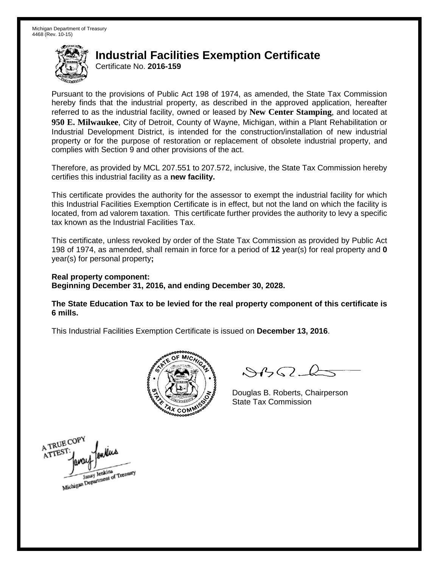Certificate No. **2016-159**

Pursuant to the provisions of Public Act 198 of 1974, as amended, the State Tax Commission hereby finds that the industrial property, as described in the approved application, hereafter referred to as the industrial facility, owned or leased by **New Center Stamping**, and located at **950 E. Milwaukee**, City of Detroit, County of Wayne, Michigan, within a Plant Rehabilitation or Industrial Development District, is intended for the construction/installation of new industrial property or for the purpose of restoration or replacement of obsolete industrial property, and complies with Section 9 and other provisions of the act.

Therefore, as provided by MCL 207.551 to 207.572, inclusive, the State Tax Commission hereby certifies this industrial facility as a **new facility.**

This certificate provides the authority for the assessor to exempt the industrial facility for which this Industrial Facilities Exemption Certificate is in effect, but not the land on which the facility is located, from ad valorem taxation. This certificate further provides the authority to levy a specific tax known as the Industrial Facilities Tax.

This certificate, unless revoked by order of the State Tax Commission as provided by Public Act 198 of 1974, as amended, shall remain in force for a period of **12** year(s) for real property and **0** year(s) for personal property**;**

**Real property component: Beginning December 31, 2016, and ending December 30, 2028.**

**The State Education Tax to be levied for the real property component of this certificate is 6 mills.**



 $\mathcal{A}$ 

Douglas B. Roberts, Chairperson State Tax Commission

A TRUE COP A TTEST Janay Jenkins<br>Michigan Department of Treasury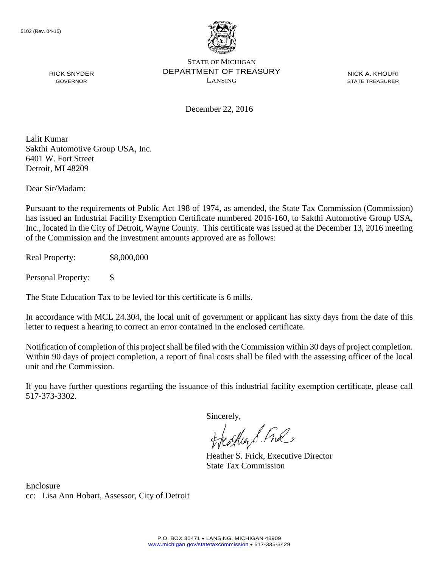

NICK A. KHOURI STATE TREASURER

December 22, 2016

Lalit Kumar Sakthi Automotive Group USA, Inc. 6401 W. Fort Street Detroit, MI 48209

RICK SNYDER GOVERNOR

Dear Sir/Madam:

Pursuant to the requirements of Public Act 198 of 1974, as amended, the State Tax Commission (Commission) has issued an Industrial Facility Exemption Certificate numbered 2016-160, to Sakthi Automotive Group USA, Inc., located in the City of Detroit, Wayne County. This certificate was issued at the December 13, 2016 meeting of the Commission and the investment amounts approved are as follows:

Real Property: \$8,000,000

Personal Property: \$

The State Education Tax to be levied for this certificate is 6 mills.

In accordance with MCL 24.304, the local unit of government or applicant has sixty days from the date of this letter to request a hearing to correct an error contained in the enclosed certificate.

Notification of completion of this project shall be filed with the Commission within 30 days of project completion. Within 90 days of project completion, a report of final costs shall be filed with the assessing officer of the local unit and the Commission.

If you have further questions regarding the issuance of this industrial facility exemption certificate, please call 517-373-3302.

Sincerely,

teacher S. Ful

Heather S. Frick, Executive Director State Tax Commission

Enclosure cc: Lisa Ann Hobart, Assessor, City of Detroit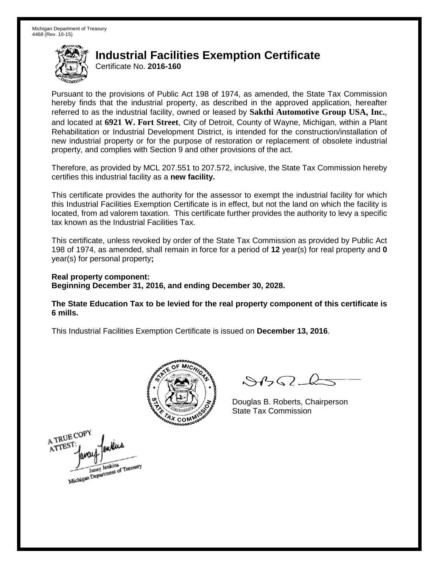Certificate No. **2016-160**

Pursuant to the provisions of Public Act 198 of 1974, as amended, the State Tax Commission hereby finds that the industrial property, as described in the approved application, hereafter referred to as the industrial facility, owned or leased by **Sakthi Automotive Group USA, Inc.**, and located at **6921 W. Fort Street**, City of Detroit, County of Wayne, Michigan, within a Plant Rehabilitation or Industrial Development District, is intended for the construction/installation of new industrial property or for the purpose of restoration or replacement of obsolete industrial property, and complies with Section 9 and other provisions of the act.

Therefore, as provided by MCL 207.551 to 207.572, inclusive, the State Tax Commission hereby certifies this industrial facility as a **new facility.**

This certificate provides the authority for the assessor to exempt the industrial facility for which this Industrial Facilities Exemption Certificate is in effect, but not the land on which the facility is located, from ad valorem taxation. This certificate further provides the authority to levy a specific tax known as the Industrial Facilities Tax.

This certificate, unless revoked by order of the State Tax Commission as provided by Public Act 198 of 1974, as amended, shall remain in force for a period of **12** year(s) for real property and **0** year(s) for personal property**;**

**Real property component: Beginning December 31, 2016, and ending December 30, 2028.**

**The State Education Tax to be levied for the real property component of this certificate is 6 mills.**



 $84562 - 6$ 

Douglas B. Roberts, Chairperson State Tax Commission

A TRUE COPY ATTES! Janay Jenkins<br>Michigan Department of Treasury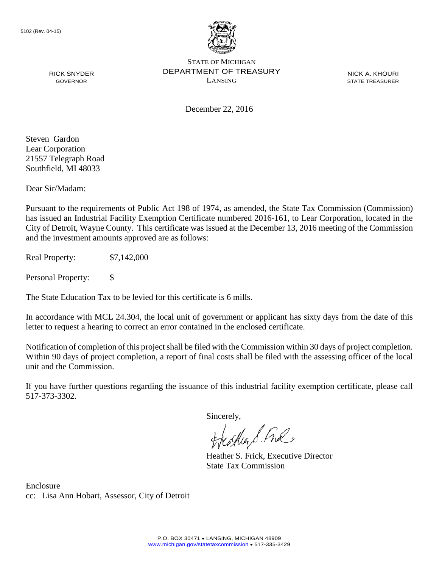

NICK A. KHOURI STATE TREASURER

GOVERNOR

RICK SNYDER

December 22, 2016

Steven Gardon Lear Corporation 21557 Telegraph Road Southfield, MI 48033

Dear Sir/Madam:

Pursuant to the requirements of Public Act 198 of 1974, as amended, the State Tax Commission (Commission) has issued an Industrial Facility Exemption Certificate numbered 2016-161, to Lear Corporation, located in the City of Detroit, Wayne County. This certificate was issued at the December 13, 2016 meeting of the Commission and the investment amounts approved are as follows:

Real Property: \$7,142,000

Personal Property: \$

The State Education Tax to be levied for this certificate is 6 mills.

In accordance with MCL 24.304, the local unit of government or applicant has sixty days from the date of this letter to request a hearing to correct an error contained in the enclosed certificate.

Notification of completion of this project shall be filed with the Commission within 30 days of project completion. Within 90 days of project completion, a report of final costs shall be filed with the assessing officer of the local unit and the Commission.

If you have further questions regarding the issuance of this industrial facility exemption certificate, please call 517-373-3302.

Sincerely,

feastles S. Ful

Heather S. Frick, Executive Director State Tax Commission

Enclosure cc: Lisa Ann Hobart, Assessor, City of Detroit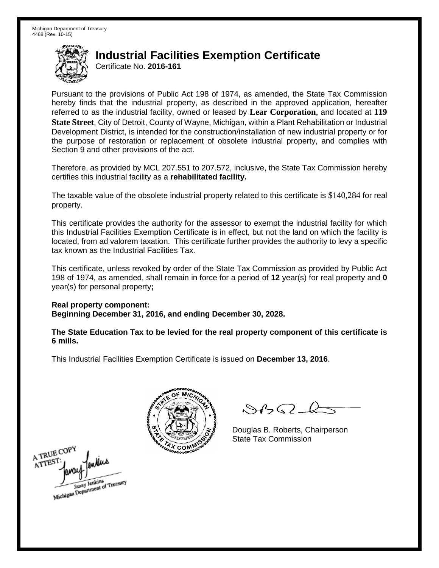Certificate No. **2016-161**

Pursuant to the provisions of Public Act 198 of 1974, as amended, the State Tax Commission hereby finds that the industrial property, as described in the approved application, hereafter referred to as the industrial facility, owned or leased by **Lear Corporation**, and located at **119 State Street**, City of Detroit, County of Wayne, Michigan, within a Plant Rehabilitation or Industrial Development District, is intended for the construction/installation of new industrial property or for the purpose of restoration or replacement of obsolete industrial property, and complies with Section 9 and other provisions of the act.

Therefore, as provided by MCL 207.551 to 207.572, inclusive, the State Tax Commission hereby certifies this industrial facility as a **rehabilitated facility.**

The taxable value of the obsolete industrial property related to this certificate is \$140,284 for real property.

This certificate provides the authority for the assessor to exempt the industrial facility for which this Industrial Facilities Exemption Certificate is in effect, but not the land on which the facility is located, from ad valorem taxation. This certificate further provides the authority to levy a specific tax known as the Industrial Facilities Tax.

This certificate, unless revoked by order of the State Tax Commission as provided by Public Act 198 of 1974, as amended, shall remain in force for a period of **12** year(s) for real property and **0** year(s) for personal property**;**

**Real property component: Beginning December 31, 2016, and ending December 30, 2028.**

**The State Education Tax to be levied for the real property component of this certificate is 6 mills.**



 $8450 - 6$ 

Douglas B. Roberts, Chairperson State Tax Commission

A TRUE COPY ATTEST Janay Jenkins<br>Michigan Department of Treasury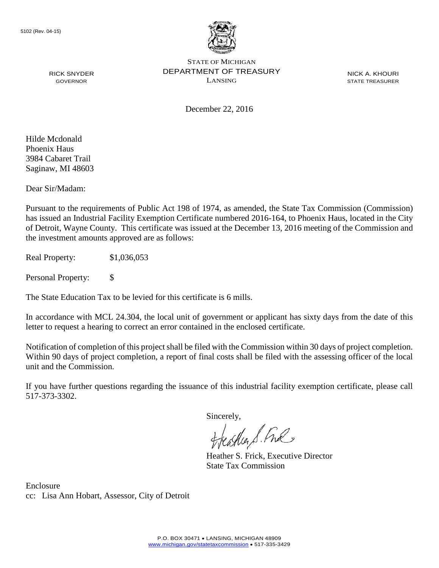

NICK A. KHOURI STATE TREASURER

RICK SNYDER GOVERNOR

December 22, 2016

Hilde Mcdonald Phoenix Haus 3984 Cabaret Trail Saginaw, MI 48603

Dear Sir/Madam:

Pursuant to the requirements of Public Act 198 of 1974, as amended, the State Tax Commission (Commission) has issued an Industrial Facility Exemption Certificate numbered 2016-164, to Phoenix Haus, located in the City of Detroit, Wayne County. This certificate was issued at the December 13, 2016 meeting of the Commission and the investment amounts approved are as follows:

Real Property: \$1,036,053

Personal Property: \$

The State Education Tax to be levied for this certificate is 6 mills.

In accordance with MCL 24.304, the local unit of government or applicant has sixty days from the date of this letter to request a hearing to correct an error contained in the enclosed certificate.

Notification of completion of this project shall be filed with the Commission within 30 days of project completion. Within 90 days of project completion, a report of final costs shall be filed with the assessing officer of the local unit and the Commission.

If you have further questions regarding the issuance of this industrial facility exemption certificate, please call 517-373-3302.

Sincerely,

teacher S. Ful

Heather S. Frick, Executive Director State Tax Commission

Enclosure cc: Lisa Ann Hobart, Assessor, City of Detroit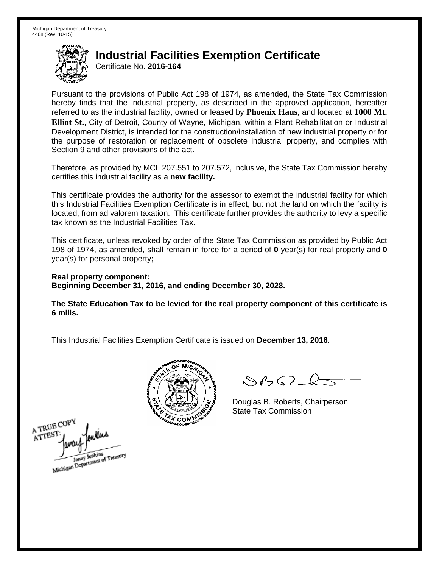Certificate No. **2016-164**

Pursuant to the provisions of Public Act 198 of 1974, as amended, the State Tax Commission hereby finds that the industrial property, as described in the approved application, hereafter referred to as the industrial facility, owned or leased by **Phoenix Haus**, and located at **1000 Mt. Elliot St.**, City of Detroit, County of Wayne, Michigan, within a Plant Rehabilitation or Industrial Development District, is intended for the construction/installation of new industrial property or for the purpose of restoration or replacement of obsolete industrial property, and complies with Section 9 and other provisions of the act.

Therefore, as provided by MCL 207.551 to 207.572, inclusive, the State Tax Commission hereby certifies this industrial facility as a **new facility.**

This certificate provides the authority for the assessor to exempt the industrial facility for which this Industrial Facilities Exemption Certificate is in effect, but not the land on which the facility is located, from ad valorem taxation. This certificate further provides the authority to levy a specific tax known as the Industrial Facilities Tax.

This certificate, unless revoked by order of the State Tax Commission as provided by Public Act 198 of 1974, as amended, shall remain in force for a period of **0** year(s) for real property and **0** year(s) for personal property**;**

**Real property component: Beginning December 31, 2016, and ending December 30, 2028.**

**The State Education Tax to be levied for the real property component of this certificate is 6 mills.**



 $8450 - 6$ 

Douglas B. Roberts, Chairperson State Tax Commission

A TRUE COPY ATTES Janay Jenkins<br>Michigan Department of Treasury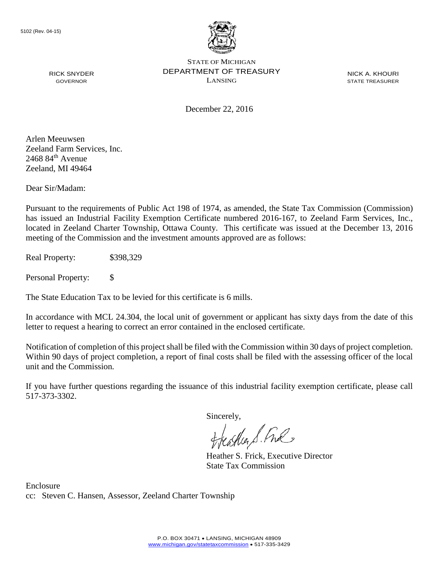

NICK A. KHOURI STATE TREASURER

December 22, 2016

Arlen Meeuwsen Zeeland Farm Services, Inc.  $2468$   $84^{\text{th}}$  Avenue Zeeland, MI 49464

RICK SNYDER GOVERNOR

Dear Sir/Madam:

Pursuant to the requirements of Public Act 198 of 1974, as amended, the State Tax Commission (Commission) has issued an Industrial Facility Exemption Certificate numbered 2016-167, to Zeeland Farm Services, Inc., located in Zeeland Charter Township, Ottawa County. This certificate was issued at the December 13, 2016 meeting of the Commission and the investment amounts approved are as follows:

Real Property: \$398,329

Personal Property: \$

The State Education Tax to be levied for this certificate is 6 mills.

In accordance with MCL 24.304, the local unit of government or applicant has sixty days from the date of this letter to request a hearing to correct an error contained in the enclosed certificate.

Notification of completion of this project shall be filed with the Commission within 30 days of project completion. Within 90 days of project completion, a report of final costs shall be filed with the assessing officer of the local unit and the Commission.

If you have further questions regarding the issuance of this industrial facility exemption certificate, please call 517-373-3302.

Sincerely,

teacher S. Ful

Heather S. Frick, Executive Director State Tax Commission

Enclosure cc: Steven C. Hansen, Assessor, Zeeland Charter Township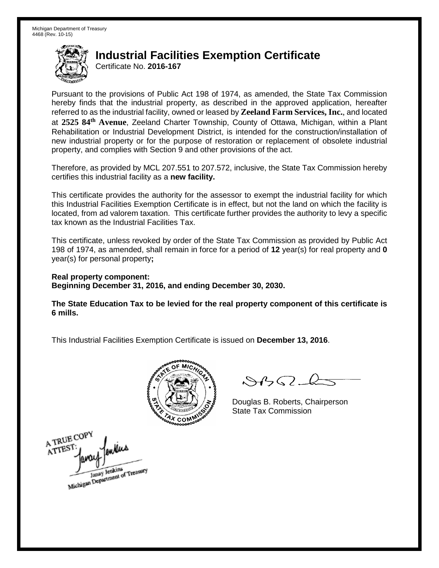Certificate No. **2016-167**

Pursuant to the provisions of Public Act 198 of 1974, as amended, the State Tax Commission hereby finds that the industrial property, as described in the approved application, hereafter referred to as the industrial facility, owned or leased by **Zeeland Farm Services, Inc.**, and located at **2525 84th Avenue**, Zeeland Charter Township, County of Ottawa, Michigan, within a Plant Rehabilitation or Industrial Development District, is intended for the construction/installation of new industrial property or for the purpose of restoration or replacement of obsolete industrial property, and complies with Section 9 and other provisions of the act.

Therefore, as provided by MCL 207.551 to 207.572, inclusive, the State Tax Commission hereby certifies this industrial facility as a **new facility.**

This certificate provides the authority for the assessor to exempt the industrial facility for which this Industrial Facilities Exemption Certificate is in effect, but not the land on which the facility is located, from ad valorem taxation. This certificate further provides the authority to levy a specific tax known as the Industrial Facilities Tax.

This certificate, unless revoked by order of the State Tax Commission as provided by Public Act 198 of 1974, as amended, shall remain in force for a period of **12** year(s) for real property and **0** year(s) for personal property**;**

**Real property component: Beginning December 31, 2016, and ending December 30, 2030.**

**The State Education Tax to be levied for the real property component of this certificate is 6 mills.**



 $8450 - 6$ 

Douglas B. Roberts, Chairperson State Tax Commission

A TRUE COPY ATTEST Janay Jenkins<br>Michigan Department of Treasury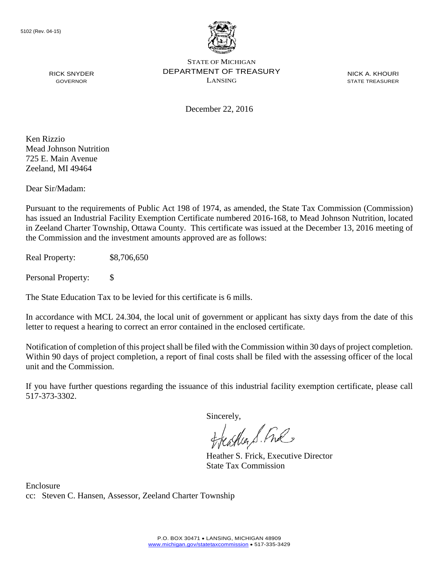

NICK A. KHOURI STATE TREASURER

December 22, 2016

Ken Rizzio Mead Johnson Nutrition 725 E. Main Avenue Zeeland, MI 49464

RICK SNYDER GOVERNOR

Dear Sir/Madam:

Pursuant to the requirements of Public Act 198 of 1974, as amended, the State Tax Commission (Commission) has issued an Industrial Facility Exemption Certificate numbered 2016-168, to Mead Johnson Nutrition, located in Zeeland Charter Township, Ottawa County. This certificate was issued at the December 13, 2016 meeting of the Commission and the investment amounts approved are as follows:

Real Property: \$8,706,650

Personal Property: \$

The State Education Tax to be levied for this certificate is 6 mills.

In accordance with MCL 24.304, the local unit of government or applicant has sixty days from the date of this letter to request a hearing to correct an error contained in the enclosed certificate.

Notification of completion of this project shall be filed with the Commission within 30 days of project completion. Within 90 days of project completion, a report of final costs shall be filed with the assessing officer of the local unit and the Commission.

If you have further questions regarding the issuance of this industrial facility exemption certificate, please call 517-373-3302.

Sincerely,

feastles S. Ful

Heather S. Frick, Executive Director State Tax Commission

Enclosure cc: Steven C. Hansen, Assessor, Zeeland Charter Township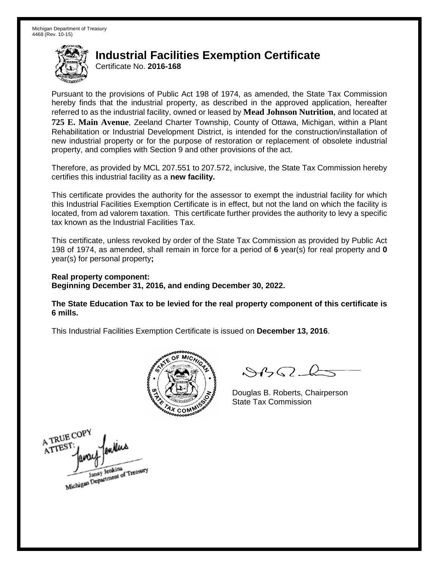Certificate No. **2016-168**

Pursuant to the provisions of Public Act 198 of 1974, as amended, the State Tax Commission hereby finds that the industrial property, as described in the approved application, hereafter referred to as the industrial facility, owned or leased by **Mead Johnson Nutrition**, and located at **725 E. Main Avenue**, Zeeland Charter Township, County of Ottawa, Michigan, within a Plant Rehabilitation or Industrial Development District, is intended for the construction/installation of new industrial property or for the purpose of restoration or replacement of obsolete industrial property, and complies with Section 9 and other provisions of the act.

Therefore, as provided by MCL 207.551 to 207.572, inclusive, the State Tax Commission hereby certifies this industrial facility as a **new facility.**

This certificate provides the authority for the assessor to exempt the industrial facility for which this Industrial Facilities Exemption Certificate is in effect, but not the land on which the facility is located, from ad valorem taxation. This certificate further provides the authority to levy a specific tax known as the Industrial Facilities Tax.

This certificate, unless revoked by order of the State Tax Commission as provided by Public Act 198 of 1974, as amended, shall remain in force for a period of **6** year(s) for real property and **0** year(s) for personal property**;**

**Real property component: Beginning December 31, 2016, and ending December 30, 2022.**

**The State Education Tax to be levied for the real property component of this certificate is 6 mills.**



 $\mathcal{A}_{1} \cap \mathcal{C}$ 

Douglas B. Roberts, Chairperson State Tax Commission

A TRUE COPY ATTEST Janay Jenkins<br>Michigan Department of Treasury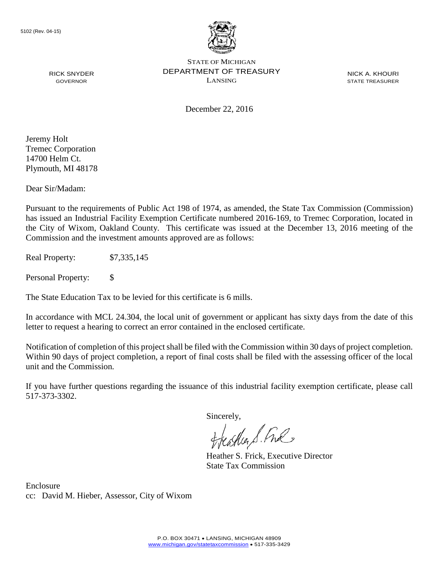

NICK A. KHOURI STATE TREASURER

December 22, 2016

Jeremy Holt Tremec Corporation 14700 Helm Ct. Plymouth, MI 48178

RICK SNYDER GOVERNOR

Dear Sir/Madam:

Pursuant to the requirements of Public Act 198 of 1974, as amended, the State Tax Commission (Commission) has issued an Industrial Facility Exemption Certificate numbered 2016-169, to Tremec Corporation, located in the City of Wixom, Oakland County. This certificate was issued at the December 13, 2016 meeting of the Commission and the investment amounts approved are as follows:

Real Property: \$7,335,145

Personal Property: \$

The State Education Tax to be levied for this certificate is 6 mills.

In accordance with MCL 24.304, the local unit of government or applicant has sixty days from the date of this letter to request a hearing to correct an error contained in the enclosed certificate.

Notification of completion of this project shall be filed with the Commission within 30 days of project completion. Within 90 days of project completion, a report of final costs shall be filed with the assessing officer of the local unit and the Commission.

If you have further questions regarding the issuance of this industrial facility exemption certificate, please call 517-373-3302.

Sincerely,

teaglien S. Ful

Heather S. Frick, Executive Director State Tax Commission

Enclosure cc: David M. Hieber, Assessor, City of Wixom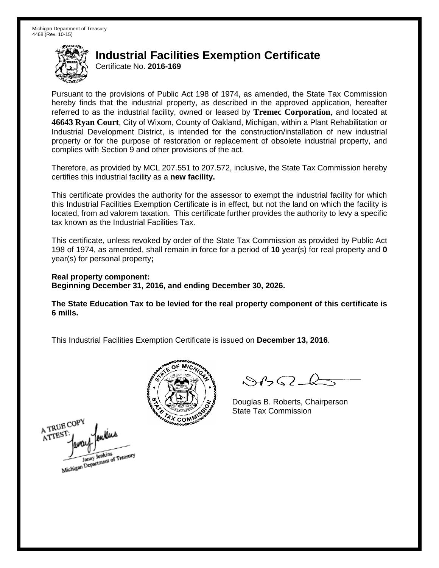Certificate No. **2016-169**

Pursuant to the provisions of Public Act 198 of 1974, as amended, the State Tax Commission hereby finds that the industrial property, as described in the approved application, hereafter referred to as the industrial facility, owned or leased by **Tremec Corporation**, and located at **46643 Ryan Court**, City of Wixom, County of Oakland, Michigan, within a Plant Rehabilitation or Industrial Development District, is intended for the construction/installation of new industrial property or for the purpose of restoration or replacement of obsolete industrial property, and complies with Section 9 and other provisions of the act.

Therefore, as provided by MCL 207.551 to 207.572, inclusive, the State Tax Commission hereby certifies this industrial facility as a **new facility.**

This certificate provides the authority for the assessor to exempt the industrial facility for which this Industrial Facilities Exemption Certificate is in effect, but not the land on which the facility is located, from ad valorem taxation. This certificate further provides the authority to levy a specific tax known as the Industrial Facilities Tax.

This certificate, unless revoked by order of the State Tax Commission as provided by Public Act 198 of 1974, as amended, shall remain in force for a period of **10** year(s) for real property and **0** year(s) for personal property**;**

**Real property component: Beginning December 31, 2016, and ending December 30, 2026.**

**The State Education Tax to be levied for the real property component of this certificate is 6 mills.**



 $8450 - 6$ 

Douglas B. Roberts, Chairperson State Tax Commission

A TRUE COP ATTES Janay Jenkins<br>Michigan Department of Treasury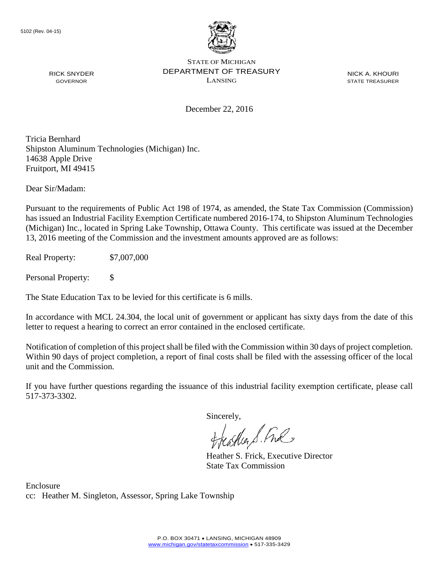

NICK A. KHOURI STATE TREASURER

December 22, 2016

Tricia Bernhard Shipston Aluminum Technologies (Michigan) Inc. 14638 Apple Drive Fruitport, MI 49415

Dear Sir/Madam:

RICK SNYDER GOVERNOR

Pursuant to the requirements of Public Act 198 of 1974, as amended, the State Tax Commission (Commission) has issued an Industrial Facility Exemption Certificate numbered 2016-174, to Shipston Aluminum Technologies (Michigan) Inc., located in Spring Lake Township, Ottawa County. This certificate was issued at the December 13, 2016 meeting of the Commission and the investment amounts approved are as follows:

Real Property: \$7,007,000

Personal Property: \$

The State Education Tax to be levied for this certificate is 6 mills.

In accordance with MCL 24.304, the local unit of government or applicant has sixty days from the date of this letter to request a hearing to correct an error contained in the enclosed certificate.

Notification of completion of this project shall be filed with the Commission within 30 days of project completion. Within 90 days of project completion, a report of final costs shall be filed with the assessing officer of the local unit and the Commission.

If you have further questions regarding the issuance of this industrial facility exemption certificate, please call 517-373-3302.

Sincerely,

feastles S. Ful

Heather S. Frick, Executive Director State Tax Commission

Enclosure cc: Heather M. Singleton, Assessor, Spring Lake Township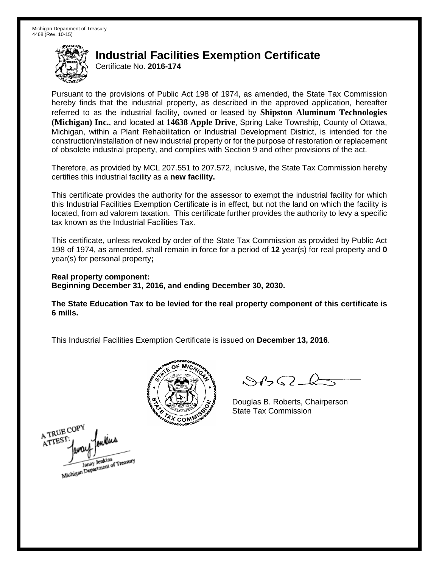Certificate No. **2016-174**

Pursuant to the provisions of Public Act 198 of 1974, as amended, the State Tax Commission hereby finds that the industrial property, as described in the approved application, hereafter referred to as the industrial facility, owned or leased by **Shipston Aluminum Technologies (Michigan) Inc.**, and located at **14638 Apple Drive**, Spring Lake Township, County of Ottawa, Michigan, within a Plant Rehabilitation or Industrial Development District, is intended for the construction/installation of new industrial property or for the purpose of restoration or replacement of obsolete industrial property, and complies with Section 9 and other provisions of the act.

Therefore, as provided by MCL 207.551 to 207.572, inclusive, the State Tax Commission hereby certifies this industrial facility as a **new facility.**

This certificate provides the authority for the assessor to exempt the industrial facility for which this Industrial Facilities Exemption Certificate is in effect, but not the land on which the facility is located, from ad valorem taxation. This certificate further provides the authority to levy a specific tax known as the Industrial Facilities Tax.

This certificate, unless revoked by order of the State Tax Commission as provided by Public Act 198 of 1974, as amended, shall remain in force for a period of **12** year(s) for real property and **0** year(s) for personal property**;**

**Real property component: Beginning December 31, 2016, and ending December 30, 2030.**

**The State Education Tax to be levied for the real property component of this certificate is 6 mills.**



 $8450 - 6$ 

Douglas B. Roberts, Chairperson State Tax Commission

A TRUE COPY lenkias ATTEST Janay Jenkins<br>Michigan Department of Treasury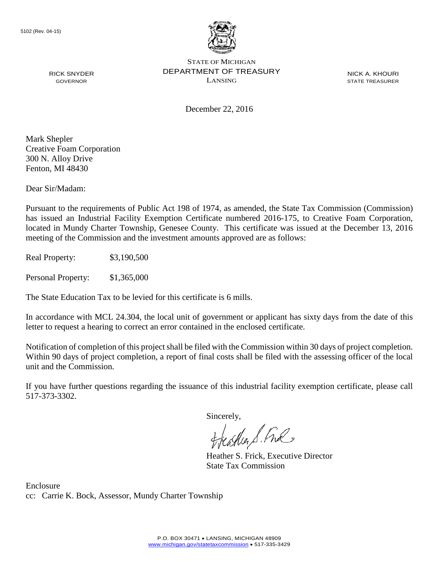

NICK A. KHOURI STATE TREASURER

December 22, 2016

Mark Shepler Creative Foam Corporation 300 N. Alloy Drive Fenton, MI 48430

RICK SNYDER GOVERNOR

Dear Sir/Madam:

Pursuant to the requirements of Public Act 198 of 1974, as amended, the State Tax Commission (Commission) has issued an Industrial Facility Exemption Certificate numbered 2016-175, to Creative Foam Corporation, located in Mundy Charter Township, Genesee County. This certificate was issued at the December 13, 2016 meeting of the Commission and the investment amounts approved are as follows:

Real Property: \$3,190,500

Personal Property: \$1,365,000

The State Education Tax to be levied for this certificate is 6 mills.

In accordance with MCL 24.304, the local unit of government or applicant has sixty days from the date of this letter to request a hearing to correct an error contained in the enclosed certificate.

Notification of completion of this project shall be filed with the Commission within 30 days of project completion. Within 90 days of project completion, a report of final costs shall be filed with the assessing officer of the local unit and the Commission.

If you have further questions regarding the issuance of this industrial facility exemption certificate, please call 517-373-3302.

Sincerely,

teaglien S. Ful

Heather S. Frick, Executive Director State Tax Commission

Enclosure cc: Carrie K. Bock, Assessor, Mundy Charter Township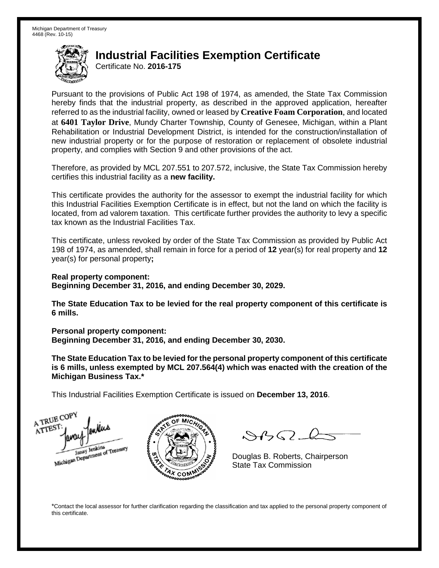Certificate No. **2016-175**

Pursuant to the provisions of Public Act 198 of 1974, as amended, the State Tax Commission hereby finds that the industrial property, as described in the approved application, hereafter referred to as the industrial facility, owned or leased by **Creative Foam Corporation**, and located at **6401 Taylor Drive**, Mundy Charter Township, County of Genesee, Michigan, within a Plant Rehabilitation or Industrial Development District, is intended for the construction/installation of new industrial property or for the purpose of restoration or replacement of obsolete industrial property, and complies with Section 9 and other provisions of the act.

Therefore, as provided by MCL 207.551 to 207.572, inclusive, the State Tax Commission hereby certifies this industrial facility as a **new facility.**

This certificate provides the authority for the assessor to exempt the industrial facility for which this Industrial Facilities Exemption Certificate is in effect, but not the land on which the facility is located, from ad valorem taxation. This certificate further provides the authority to levy a specific tax known as the Industrial Facilities Tax.

This certificate, unless revoked by order of the State Tax Commission as provided by Public Act 198 of 1974, as amended, shall remain in force for a period of **12** year(s) for real property and **12** year(s) for personal property**;**

**Real property component: Beginning December 31, 2016, and ending December 30, 2029.**

**The State Education Tax to be levied for the real property component of this certificate is 6 mills.**

**Personal property component:**

**Beginning December 31, 2016, and ending December 30, 2030.**

**The State Education Tax to be levied for the personal property component of this certificate is 6 mills, unless exempted by MCL 207.564(4) which was enacted with the creation of the Michigan Business Tax.\***

This Industrial Facilities Exemption Certificate is issued on **December 13, 2016**.

A TRUE COP ATTEST Michigan Department of Treasury



 $\mathcal{A} \cap \mathcal{A}$ 

Douglas B. Roberts, Chairperson State Tax Commission

\*Contact the local assessor for further clarification regarding the classification and tax applied to the personal property component of this certificate.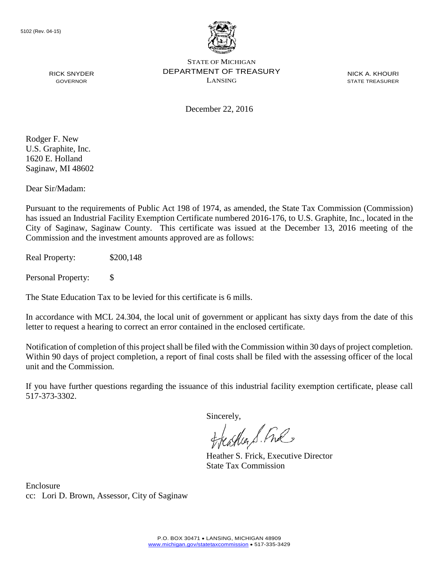

NICK A. KHOURI STATE TREASURER

RICK SNYDER GOVERNOR

December 22, 2016

Rodger F. New U.S. Graphite, Inc. 1620 E. Holland Saginaw, MI 48602

Dear Sir/Madam:

Pursuant to the requirements of Public Act 198 of 1974, as amended, the State Tax Commission (Commission) has issued an Industrial Facility Exemption Certificate numbered 2016-176, to U.S. Graphite, Inc., located in the City of Saginaw, Saginaw County. This certificate was issued at the December 13, 2016 meeting of the Commission and the investment amounts approved are as follows:

Real Property: \$200,148

Personal Property: \$

The State Education Tax to be levied for this certificate is 6 mills.

In accordance with MCL 24.304, the local unit of government or applicant has sixty days from the date of this letter to request a hearing to correct an error contained in the enclosed certificate.

Notification of completion of this project shall be filed with the Commission within 30 days of project completion. Within 90 days of project completion, a report of final costs shall be filed with the assessing officer of the local unit and the Commission.

If you have further questions regarding the issuance of this industrial facility exemption certificate, please call 517-373-3302.

Sincerely,

teagher & Ful

Heather S. Frick, Executive Director State Tax Commission

Enclosure cc: Lori D. Brown, Assessor, City of Saginaw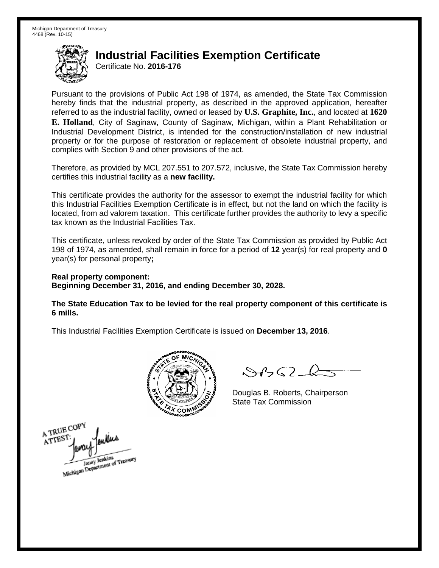Certificate No. **2016-176**

Pursuant to the provisions of Public Act 198 of 1974, as amended, the State Tax Commission hereby finds that the industrial property, as described in the approved application, hereafter referred to as the industrial facility, owned or leased by **U.S. Graphite, Inc.**, and located at **1620 E. Holland**, City of Saginaw, County of Saginaw, Michigan, within a Plant Rehabilitation or Industrial Development District, is intended for the construction/installation of new industrial property or for the purpose of restoration or replacement of obsolete industrial property, and complies with Section 9 and other provisions of the act.

Therefore, as provided by MCL 207.551 to 207.572, inclusive, the State Tax Commission hereby certifies this industrial facility as a **new facility.**

This certificate provides the authority for the assessor to exempt the industrial facility for which this Industrial Facilities Exemption Certificate is in effect, but not the land on which the facility is located, from ad valorem taxation. This certificate further provides the authority to levy a specific tax known as the Industrial Facilities Tax.

This certificate, unless revoked by order of the State Tax Commission as provided by Public Act 198 of 1974, as amended, shall remain in force for a period of **12** year(s) for real property and **0** year(s) for personal property**;**

**Real property component: Beginning December 31, 2016, and ending December 30, 2028.**

**The State Education Tax to be levied for the real property component of this certificate is 6 mills.**



 $\mathcal{A}$ 

Douglas B. Roberts, Chairperson State Tax Commission

A TRUE COPY ATTEST Janay Jenkins<br>Michigan Department of Treasury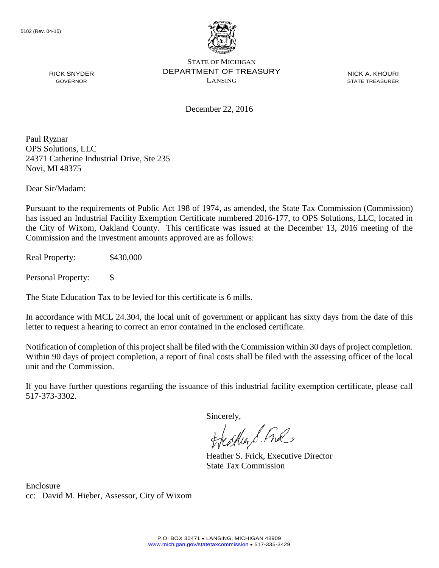

NICK A. KHOURI STATE TREASURER

December 22, 2016

LANSING

Paul Ryznar OPS Solutions, LLC 24371 Catherine Industrial Drive, Ste 235 Novi, MI 48375

Dear Sir/Madam:

RICK SNYDER GOVERNOR

Pursuant to the requirements of Public Act 198 of 1974, as amended, the State Tax Commission (Commission) has issued an Industrial Facility Exemption Certificate numbered 2016-177, to OPS Solutions, LLC, located in the City of Wixom, Oakland County. This certificate was issued at the December 13, 2016 meeting of the Commission and the investment amounts approved are as follows:

Real Property: \$430,000

Personal Property: \$

The State Education Tax to be levied for this certificate is 6 mills.

In accordance with MCL 24.304, the local unit of government or applicant has sixty days from the date of this letter to request a hearing to correct an error contained in the enclosed certificate.

Notification of completion of this project shall be filed with the Commission within 30 days of project completion. Within 90 days of project completion, a report of final costs shall be filed with the assessing officer of the local unit and the Commission.

If you have further questions regarding the issuance of this industrial facility exemption certificate, please call 517-373-3302.

Sincerely,

teather S. Ful

Heather S. Frick, Executive Director State Tax Commission

Enclosure cc: David M. Hieber, Assessor, City of Wixom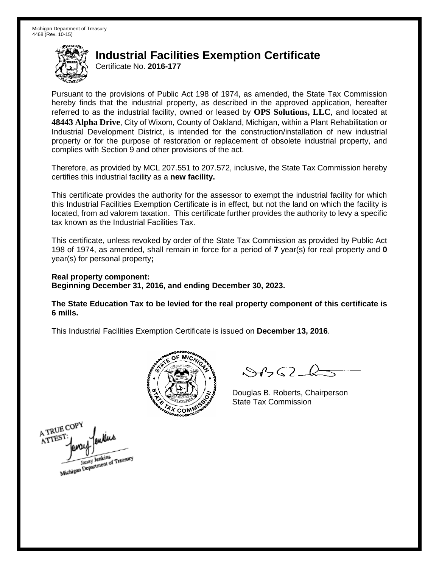Certificate No. **2016-177**

Pursuant to the provisions of Public Act 198 of 1974, as amended, the State Tax Commission hereby finds that the industrial property, as described in the approved application, hereafter referred to as the industrial facility, owned or leased by **OPS Solutions, LLC**, and located at **48443 Alpha Drive**, City of Wixom, County of Oakland, Michigan, within a Plant Rehabilitation or Industrial Development District, is intended for the construction/installation of new industrial property or for the purpose of restoration or replacement of obsolete industrial property, and complies with Section 9 and other provisions of the act.

Therefore, as provided by MCL 207.551 to 207.572, inclusive, the State Tax Commission hereby certifies this industrial facility as a **new facility.**

This certificate provides the authority for the assessor to exempt the industrial facility for which this Industrial Facilities Exemption Certificate is in effect, but not the land on which the facility is located, from ad valorem taxation. This certificate further provides the authority to levy a specific tax known as the Industrial Facilities Tax.

This certificate, unless revoked by order of the State Tax Commission as provided by Public Act 198 of 1974, as amended, shall remain in force for a period of **7** year(s) for real property and **0** year(s) for personal property**;**

**Real property component: Beginning December 31, 2016, and ending December 30, 2023.**

**The State Education Tax to be levied for the real property component of this certificate is 6 mills.**



 $\mathcal{A}$ 

Douglas B. Roberts, Chairperson State Tax Commission

A TRUE COP ATTEST Janay Jenkins<br>Michigan Department of Treasury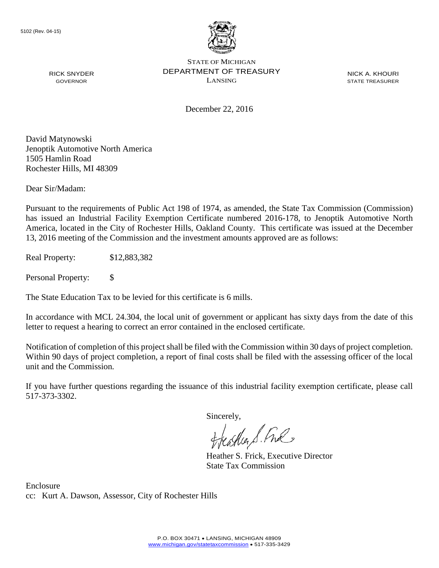

NICK A. KHOURI STATE TREASURER

December 22, 2016

David Matynowski Jenoptik Automotive North America 1505 Hamlin Road Rochester Hills, MI 48309

RICK SNYDER GOVERNOR

Dear Sir/Madam:

Pursuant to the requirements of Public Act 198 of 1974, as amended, the State Tax Commission (Commission) has issued an Industrial Facility Exemption Certificate numbered 2016-178, to Jenoptik Automotive North America, located in the City of Rochester Hills, Oakland County. This certificate was issued at the December 13, 2016 meeting of the Commission and the investment amounts approved are as follows:

Real Property: \$12,883,382

Personal Property: \$

The State Education Tax to be levied for this certificate is 6 mills.

In accordance with MCL 24.304, the local unit of government or applicant has sixty days from the date of this letter to request a hearing to correct an error contained in the enclosed certificate.

Notification of completion of this project shall be filed with the Commission within 30 days of project completion. Within 90 days of project completion, a report of final costs shall be filed with the assessing officer of the local unit and the Commission.

If you have further questions regarding the issuance of this industrial facility exemption certificate, please call 517-373-3302.

Sincerely,

teather S. Ful

Heather S. Frick, Executive Director State Tax Commission

Enclosure cc: Kurt A. Dawson, Assessor, City of Rochester Hills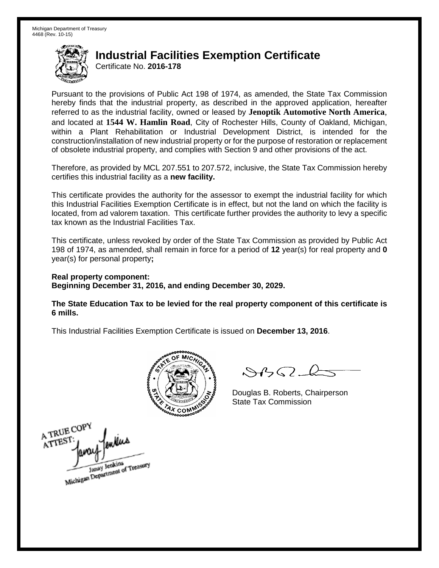Certificate No. **2016-178**

Pursuant to the provisions of Public Act 198 of 1974, as amended, the State Tax Commission hereby finds that the industrial property, as described in the approved application, hereafter referred to as the industrial facility, owned or leased by **Jenoptik Automotive North America**, and located at **1544 W. Hamlin Road**, City of Rochester Hills, County of Oakland, Michigan, within a Plant Rehabilitation or Industrial Development District, is intended for the construction/installation of new industrial property or for the purpose of restoration or replacement of obsolete industrial property, and complies with Section 9 and other provisions of the act.

Therefore, as provided by MCL 207.551 to 207.572, inclusive, the State Tax Commission hereby certifies this industrial facility as a **new facility.**

This certificate provides the authority for the assessor to exempt the industrial facility for which this Industrial Facilities Exemption Certificate is in effect, but not the land on which the facility is located, from ad valorem taxation. This certificate further provides the authority to levy a specific tax known as the Industrial Facilities Tax.

This certificate, unless revoked by order of the State Tax Commission as provided by Public Act 198 of 1974, as amended, shall remain in force for a period of **12** year(s) for real property and **0** year(s) for personal property**;**

**Real property component: Beginning December 31, 2016, and ending December 30, 2029.**

**The State Education Tax to be levied for the real property component of this certificate is 6 mills.**



 $\mathcal{A}(\mathcal{A})$ 

Douglas B. Roberts, Chairperson State Tax Commission

A TRUE COPY milus ATTEST Janay Jenkins<br>Michigan Department of Treasury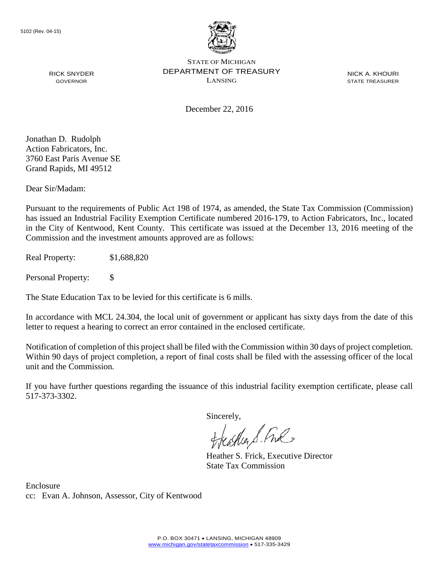

NICK A. KHOURI STATE TREASURER

December 22, 2016

Jonathan D. Rudolph Action Fabricators, Inc. 3760 East Paris Avenue SE Grand Rapids, MI 49512

RICK SNYDER GOVERNOR

Dear Sir/Madam:

Pursuant to the requirements of Public Act 198 of 1974, as amended, the State Tax Commission (Commission) has issued an Industrial Facility Exemption Certificate numbered 2016-179, to Action Fabricators, Inc., located in the City of Kentwood, Kent County. This certificate was issued at the December 13, 2016 meeting of the Commission and the investment amounts approved are as follows:

Real Property: \$1,688,820

Personal Property: \$

The State Education Tax to be levied for this certificate is 6 mills.

In accordance with MCL 24.304, the local unit of government or applicant has sixty days from the date of this letter to request a hearing to correct an error contained in the enclosed certificate.

Notification of completion of this project shall be filed with the Commission within 30 days of project completion. Within 90 days of project completion, a report of final costs shall be filed with the assessing officer of the local unit and the Commission.

If you have further questions regarding the issuance of this industrial facility exemption certificate, please call 517-373-3302.

Sincerely,

teather S. Ful

Heather S. Frick, Executive Director State Tax Commission

Enclosure cc: Evan A. Johnson, Assessor, City of Kentwood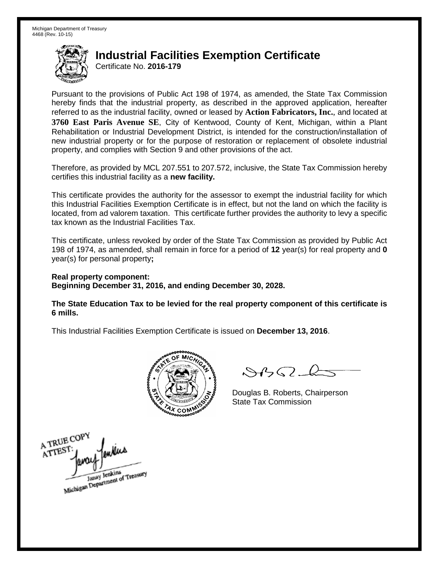Certificate No. **2016-179**

Pursuant to the provisions of Public Act 198 of 1974, as amended, the State Tax Commission hereby finds that the industrial property, as described in the approved application, hereafter referred to as the industrial facility, owned or leased by **Action Fabricators, Inc.**, and located at **3760 East Paris Avenue SE**, City of Kentwood, County of Kent, Michigan, within a Plant Rehabilitation or Industrial Development District, is intended for the construction/installation of new industrial property or for the purpose of restoration or replacement of obsolete industrial property, and complies with Section 9 and other provisions of the act.

Therefore, as provided by MCL 207.551 to 207.572, inclusive, the State Tax Commission hereby certifies this industrial facility as a **new facility.**

This certificate provides the authority for the assessor to exempt the industrial facility for which this Industrial Facilities Exemption Certificate is in effect, but not the land on which the facility is located, from ad valorem taxation. This certificate further provides the authority to levy a specific tax known as the Industrial Facilities Tax.

This certificate, unless revoked by order of the State Tax Commission as provided by Public Act 198 of 1974, as amended, shall remain in force for a period of **12** year(s) for real property and **0** year(s) for personal property**;**

**Real property component: Beginning December 31, 2016, and ending December 30, 2028.**

**The State Education Tax to be levied for the real property component of this certificate is 6 mills.**



 $\mathcal{A}$ 

Douglas B. Roberts, Chairperson State Tax Commission

A TRUE COPY ATTEST Janay Jenkins<br>Michigan Department of Treasury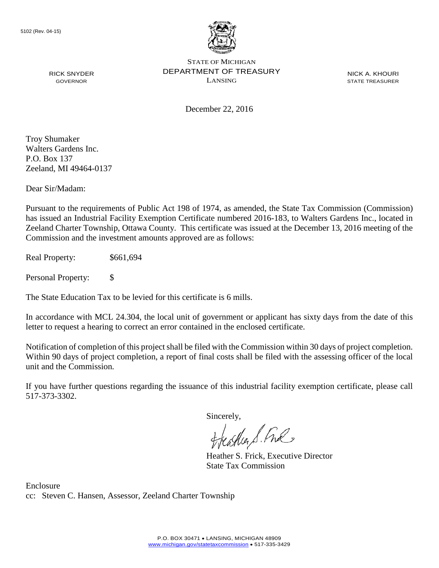

NICK A. KHOURI STATE TREASURER

December 22, 2016

Troy Shumaker Walters Gardens Inc. P.O. Box 137 Zeeland, MI 49464-0137

RICK SNYDER GOVERNOR

Dear Sir/Madam:

Pursuant to the requirements of Public Act 198 of 1974, as amended, the State Tax Commission (Commission) has issued an Industrial Facility Exemption Certificate numbered 2016-183, to Walters Gardens Inc., located in Zeeland Charter Township, Ottawa County. This certificate was issued at the December 13, 2016 meeting of the Commission and the investment amounts approved are as follows:

Real Property: \$661,694

Personal Property: \$

The State Education Tax to be levied for this certificate is 6 mills.

In accordance with MCL 24.304, the local unit of government or applicant has sixty days from the date of this letter to request a hearing to correct an error contained in the enclosed certificate.

Notification of completion of this project shall be filed with the Commission within 30 days of project completion. Within 90 days of project completion, a report of final costs shall be filed with the assessing officer of the local unit and the Commission.

If you have further questions regarding the issuance of this industrial facility exemption certificate, please call 517-373-3302.

Sincerely,

feastles S. Ful

Heather S. Frick, Executive Director State Tax Commission

Enclosure cc: Steven C. Hansen, Assessor, Zeeland Charter Township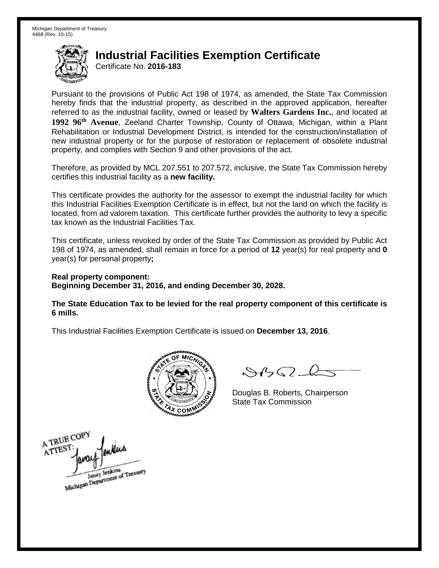Certificate No. **2016-183**

Pursuant to the provisions of Public Act 198 of 1974, as amended, the State Tax Commission hereby finds that the industrial property, as described in the approved application, hereafter referred to as the industrial facility, owned or leased by **Walters Gardens Inc.**, and located at **1992 96th Avenue**, Zeeland Charter Township, County of Ottawa, Michigan, within a Plant Rehabilitation or Industrial Development District, is intended for the construction/installation of new industrial property or for the purpose of restoration or replacement of obsolete industrial property, and complies with Section 9 and other provisions of the act.

Therefore, as provided by MCL 207.551 to 207.572, inclusive, the State Tax Commission hereby certifies this industrial facility as a **new facility.**

This certificate provides the authority for the assessor to exempt the industrial facility for which this Industrial Facilities Exemption Certificate is in effect, but not the land on which the facility is located, from ad valorem taxation. This certificate further provides the authority to levy a specific tax known as the Industrial Facilities Tax.

This certificate, unless revoked by order of the State Tax Commission as provided by Public Act 198 of 1974, as amended, shall remain in force for a period of **12** year(s) for real property and **0** year(s) for personal property**;**

**Real property component: Beginning December 31, 2016, and ending December 30, 2028.**

**The State Education Tax to be levied for the real property component of this certificate is 6 mills.**



 $\mathcal{A}_{1} \cap \mathcal{C}$ 

Douglas B. Roberts, Chairperson State Tax Commission

A TRUE COPY ATTEST Janay Jenkins<br>Michigan Department of Treasury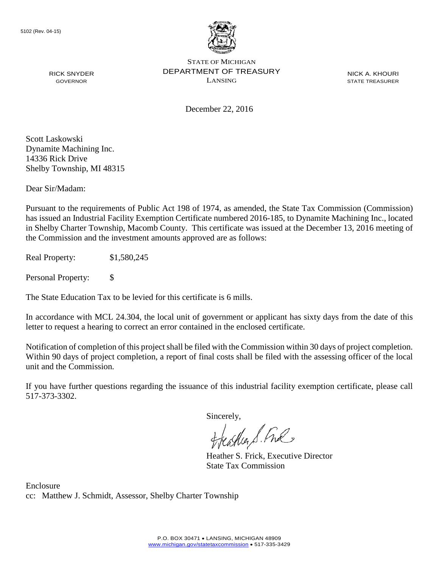

NICK A. KHOURI STATE TREASURER

December 22, 2016

Scott Laskowski Dynamite Machining Inc. 14336 Rick Drive Shelby Township, MI 48315

RICK SNYDER GOVERNOR

Dear Sir/Madam:

Pursuant to the requirements of Public Act 198 of 1974, as amended, the State Tax Commission (Commission) has issued an Industrial Facility Exemption Certificate numbered 2016-185, to Dynamite Machining Inc., located in Shelby Charter Township, Macomb County. This certificate was issued at the December 13, 2016 meeting of the Commission and the investment amounts approved are as follows:

Real Property: \$1,580,245

Personal Property: \$

The State Education Tax to be levied for this certificate is 6 mills.

In accordance with MCL 24.304, the local unit of government or applicant has sixty days from the date of this letter to request a hearing to correct an error contained in the enclosed certificate.

Notification of completion of this project shall be filed with the Commission within 30 days of project completion. Within 90 days of project completion, a report of final costs shall be filed with the assessing officer of the local unit and the Commission.

If you have further questions regarding the issuance of this industrial facility exemption certificate, please call 517-373-3302.

Sincerely,

teather S. Ful

Heather S. Frick, Executive Director State Tax Commission

Enclosure cc: Matthew J. Schmidt, Assessor, Shelby Charter Township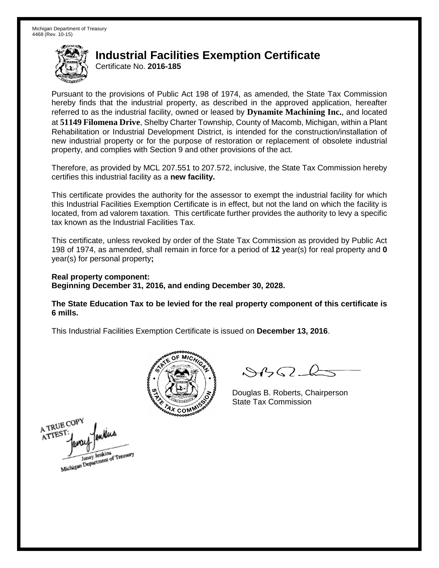Certificate No. **2016-185**

Pursuant to the provisions of Public Act 198 of 1974, as amended, the State Tax Commission hereby finds that the industrial property, as described in the approved application, hereafter referred to as the industrial facility, owned or leased by **Dynamite Machining Inc.**, and located at **51149 Filomena Drive**, Shelby Charter Township, County of Macomb, Michigan, within a Plant Rehabilitation or Industrial Development District, is intended for the construction/installation of new industrial property or for the purpose of restoration or replacement of obsolete industrial property, and complies with Section 9 and other provisions of the act.

Therefore, as provided by MCL 207.551 to 207.572, inclusive, the State Tax Commission hereby certifies this industrial facility as a **new facility.**

This certificate provides the authority for the assessor to exempt the industrial facility for which this Industrial Facilities Exemption Certificate is in effect, but not the land on which the facility is located, from ad valorem taxation. This certificate further provides the authority to levy a specific tax known as the Industrial Facilities Tax.

This certificate, unless revoked by order of the State Tax Commission as provided by Public Act 198 of 1974, as amended, shall remain in force for a period of **12** year(s) for real property and **0** year(s) for personal property**;**

**Real property component: Beginning December 31, 2016, and ending December 30, 2028.**

**The State Education Tax to be levied for the real property component of this certificate is 6 mills.**



 $\mathcal{A}$ 

Douglas B. Roberts, Chairperson State Tax Commission

A TRUE COPY ATTES! Michigan Department of Treasury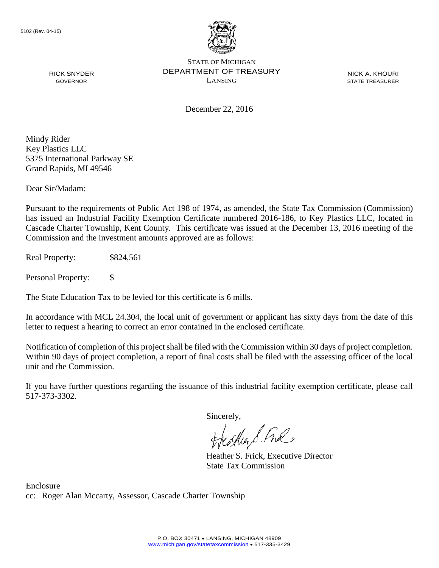

NICK A. KHOURI STATE TREASURER

December 22, 2016

Mindy Rider Key Plastics LLC 5375 International Parkway SE Grand Rapids, MI 49546

RICK SNYDER GOVERNOR

Dear Sir/Madam:

Pursuant to the requirements of Public Act 198 of 1974, as amended, the State Tax Commission (Commission) has issued an Industrial Facility Exemption Certificate numbered 2016-186, to Key Plastics LLC, located in Cascade Charter Township, Kent County. This certificate was issued at the December 13, 2016 meeting of the Commission and the investment amounts approved are as follows:

Real Property:  $$824,561$ 

Personal Property: \$

The State Education Tax to be levied for this certificate is 6 mills.

In accordance with MCL 24.304, the local unit of government or applicant has sixty days from the date of this letter to request a hearing to correct an error contained in the enclosed certificate.

Notification of completion of this project shall be filed with the Commission within 30 days of project completion. Within 90 days of project completion, a report of final costs shall be filed with the assessing officer of the local unit and the Commission.

If you have further questions regarding the issuance of this industrial facility exemption certificate, please call 517-373-3302.

Sincerely,

teaglier S. Ful

Heather S. Frick, Executive Director State Tax Commission

Enclosure cc: Roger Alan Mccarty, Assessor, Cascade Charter Township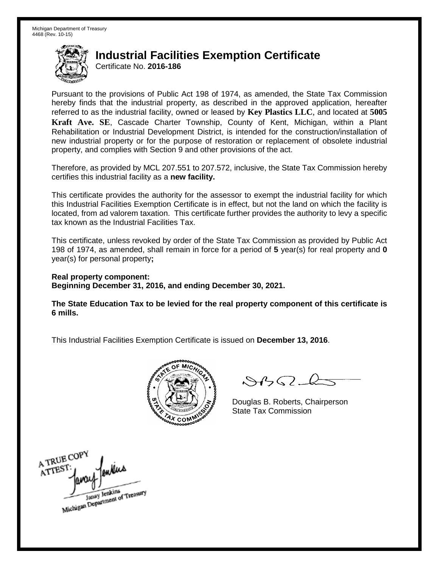Certificate No. **2016-186**

Pursuant to the provisions of Public Act 198 of 1974, as amended, the State Tax Commission hereby finds that the industrial property, as described in the approved application, hereafter referred to as the industrial facility, owned or leased by **Key Plastics LLC**, and located at **5005 Kraft Ave. SE**, Cascade Charter Township, County of Kent, Michigan, within a Plant Rehabilitation or Industrial Development District, is intended for the construction/installation of new industrial property or for the purpose of restoration or replacement of obsolete industrial property, and complies with Section 9 and other provisions of the act.

Therefore, as provided by MCL 207.551 to 207.572, inclusive, the State Tax Commission hereby certifies this industrial facility as a **new facility.**

This certificate provides the authority for the assessor to exempt the industrial facility for which this Industrial Facilities Exemption Certificate is in effect, but not the land on which the facility is located, from ad valorem taxation. This certificate further provides the authority to levy a specific tax known as the Industrial Facilities Tax.

This certificate, unless revoked by order of the State Tax Commission as provided by Public Act 198 of 1974, as amended, shall remain in force for a period of **5** year(s) for real property and **0** year(s) for personal property**;**

**Real property component: Beginning December 31, 2016, and ending December 30, 2021.**

**The State Education Tax to be levied for the real property component of this certificate is 6 mills.**



 $8450 - 6$ 

Douglas B. Roberts, Chairperson State Tax Commission

A TRUE COPY ATTEST Janay Jenkins<br>Michigan Department of Treasury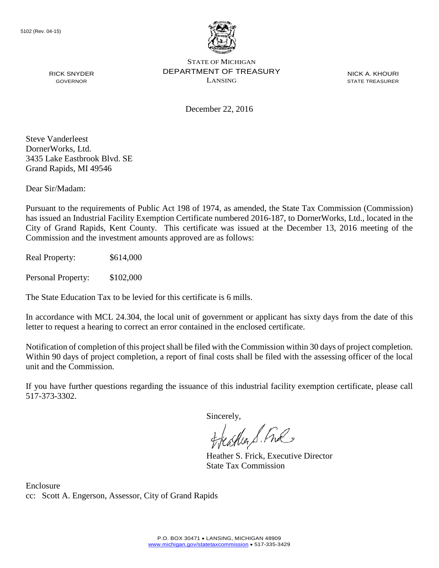

NICK A. KHOURI STATE TREASURER

December 22, 2016

Steve Vanderleest DornerWorks, Ltd. 3435 Lake Eastbrook Blvd. SE Grand Rapids, MI 49546

RICK SNYDER GOVERNOR

Dear Sir/Madam:

Pursuant to the requirements of Public Act 198 of 1974, as amended, the State Tax Commission (Commission) has issued an Industrial Facility Exemption Certificate numbered 2016-187, to DornerWorks, Ltd., located in the City of Grand Rapids, Kent County. This certificate was issued at the December 13, 2016 meeting of the Commission and the investment amounts approved are as follows:

Real Property:  $$614,000$ 

Personal Property: \$102,000

The State Education Tax to be levied for this certificate is 6 mills.

In accordance with MCL 24.304, the local unit of government or applicant has sixty days from the date of this letter to request a hearing to correct an error contained in the enclosed certificate.

Notification of completion of this project shall be filed with the Commission within 30 days of project completion. Within 90 days of project completion, a report of final costs shall be filed with the assessing officer of the local unit and the Commission.

If you have further questions regarding the issuance of this industrial facility exemption certificate, please call 517-373-3302.

Sincerely,

teather S. Ful

Heather S. Frick, Executive Director State Tax Commission

Enclosure cc: Scott A. Engerson, Assessor, City of Grand Rapids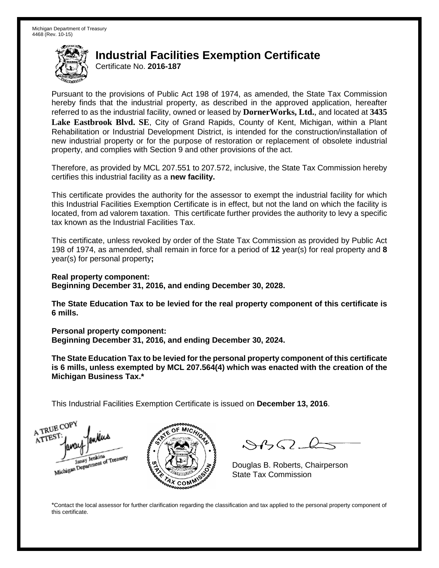Certificate No. **2016-187**

Pursuant to the provisions of Public Act 198 of 1974, as amended, the State Tax Commission hereby finds that the industrial property, as described in the approved application, hereafter referred to as the industrial facility, owned or leased by **DornerWorks, Ltd.**, and located at **3435 Lake Eastbrook Blvd. SE**, City of Grand Rapids, County of Kent, Michigan, within a Plant Rehabilitation or Industrial Development District, is intended for the construction/installation of new industrial property or for the purpose of restoration or replacement of obsolete industrial property, and complies with Section 9 and other provisions of the act.

Therefore, as provided by MCL 207.551 to 207.572, inclusive, the State Tax Commission hereby certifies this industrial facility as a **new facility.**

This certificate provides the authority for the assessor to exempt the industrial facility for which this Industrial Facilities Exemption Certificate is in effect, but not the land on which the facility is located, from ad valorem taxation. This certificate further provides the authority to levy a specific tax known as the Industrial Facilities Tax.

This certificate, unless revoked by order of the State Tax Commission as provided by Public Act 198 of 1974, as amended, shall remain in force for a period of **12** year(s) for real property and **8** year(s) for personal property**;**

**Real property component: Beginning December 31, 2016, and ending December 30, 2028.**

**The State Education Tax to be levied for the real property component of this certificate is 6 mills.**

**Personal property component:**

**Beginning December 31, 2016, and ending December 30, 2024.**

**The State Education Tax to be levied for the personal property component of this certificate is 6 mills, unless exempted by MCL 207.564(4) which was enacted with the creation of the Michigan Business Tax.\***

This Industrial Facilities Exemption Certificate is issued on **December 13, 2016**.

A TRUE COP ATTEST Janay Jenkins<br>Michigan Department of Treasury



 $\mathcal{S}$ 

Douglas B. Roberts, Chairperson State Tax Commission

\*Contact the local assessor for further clarification regarding the classification and tax applied to the personal property component of this certificate.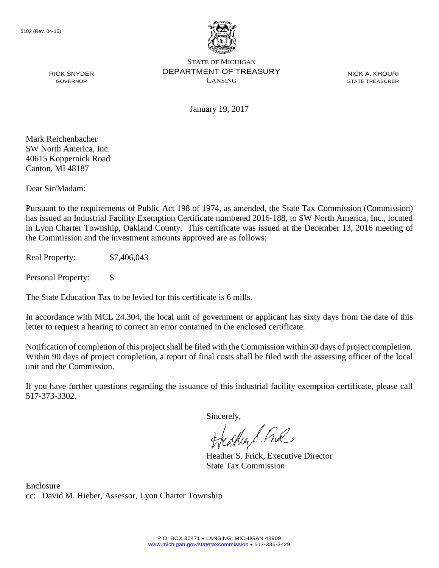

NICK A. KHOURI STATE TREASURER

January 19, 2017

Mark Reichenbacher SW North America, Inc. 40615 Koppernick Road Canton, MI 48187

RICK SNYDER GOVERNOR

Dear Sir/Madam:

Pursuant to the requirements of Public Act 198 of 1974, as amended, the State Tax Commission (Commission) has issued an Industrial Facility Exemption Certificate numbered 2016-188, to SW North America, Inc., located in Lyon Charter Township, Oakland County. This certificate was issued at the December 13, 2016 meeting of the Commission and the investment amounts approved are as follows:

Real Property: \$7,406,043

Personal Property: \$

The State Education Tax to be levied for this certificate is 6 mills.

In accordance with MCL 24.304, the local unit of government or applicant has sixty days from the date of this letter to request a hearing to correct an error contained in the enclosed certificate.

Notification of completion of this project shall be filed with the Commission within 30 days of project completion. Within 90 days of project completion, a report of final costs shall be filed with the assessing officer of the local unit and the Commission.

If you have further questions regarding the issuance of this industrial facility exemption certificate, please call 517-373-3302.

Sincerely,

teagher & Fral

Heather S. Frick, Executive Director State Tax Commission

Enclosure cc: David M. Hieber, Assessor, Lyon Charter Township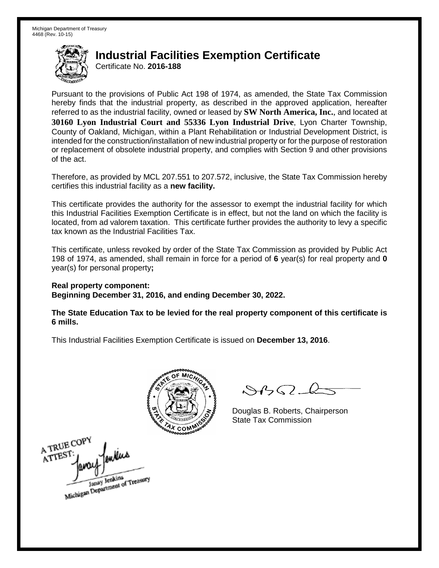Certificate No. **2016-188**

Pursuant to the provisions of Public Act 198 of 1974, as amended, the State Tax Commission hereby finds that the industrial property, as described in the approved application, hereafter referred to as the industrial facility, owned or leased by **SW North America, Inc.**, and located at **30160 Lyon Industrial Court and 55336 Lyon Industrial Drive**, Lyon Charter Township, County of Oakland, Michigan, within a Plant Rehabilitation or Industrial Development District, is intended for the construction/installation of new industrial property or for the purpose of restoration or replacement of obsolete industrial property, and complies with Section 9 and other provisions of the act.

Therefore, as provided by MCL 207.551 to 207.572, inclusive, the State Tax Commission hereby certifies this industrial facility as a **new facility.** 

This certificate provides the authority for the assessor to exempt the industrial facility for which this Industrial Facilities Exemption Certificate is in effect, but not the land on which the facility is located, from ad valorem taxation. This certificate further provides the authority to levy a specific tax known as the Industrial Facilities Tax.

This certificate, unless revoked by order of the State Tax Commission as provided by Public Act 198 of 1974, as amended, shall remain in force for a period of **6** year(s) for real property and **0** year(s) for personal property**;** 

**Real property component:** 

**Beginning December 31, 2016, and ending December 30, 2022.** 

**The State Education Tax to be levied for the real property component of this certificate is 6 mills.**



 $\mathcal{S}$ BO-6

Douglas B. Roberts, Chairperson

A TRUE COPY ATTEST مسلار Janay Jenkins<br>Michigan Department of Treasury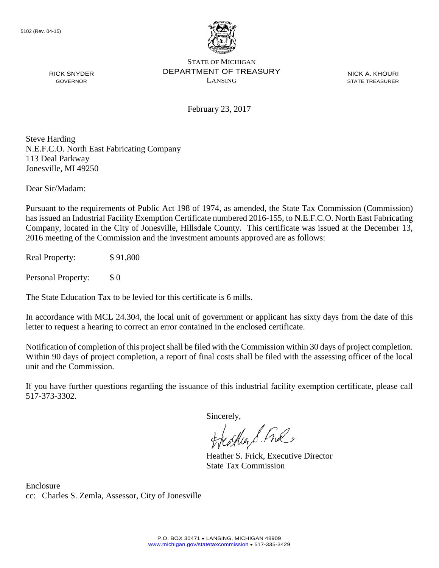

RICK SNYDER GOVERNOR

STATE OF MICHIGAN DEPARTMENT OF TREASURY LANSING

NICK A. KHOURI STATE TREASURER

February 23, 2017

Steve Harding N.E.F.C.O. North East Fabricating Company 113 Deal Parkway Jonesville, MI 49250

Dear Sir/Madam:

Pursuant to the requirements of Public Act 198 of 1974, as amended, the State Tax Commission (Commission) has issued an Industrial Facility Exemption Certificate numbered 2016-155, to N.E.F.C.O. North East Fabricating Company, located in the City of Jonesville, Hillsdale County. This certificate was issued at the December 13, 2016 meeting of the Commission and the investment amounts approved are as follows:

Real Property: \$91,800

Personal Property: \$ 0

The State Education Tax to be levied for this certificate is 6 mills.

In accordance with MCL 24.304, the local unit of government or applicant has sixty days from the date of this letter to request a hearing to correct an error contained in the enclosed certificate.

Notification of completion of this project shall be filed with the Commission within 30 days of project completion. Within 90 days of project completion, a report of final costs shall be filed with the assessing officer of the local unit and the Commission.

If you have further questions regarding the issuance of this industrial facility exemption certificate, please call 517-373-3302.

Sincerely,

teaglier S. Ful

Heather S. Frick, Executive Director State Tax Commission

Enclosure cc: Charles S. Zemla, Assessor, City of Jonesville